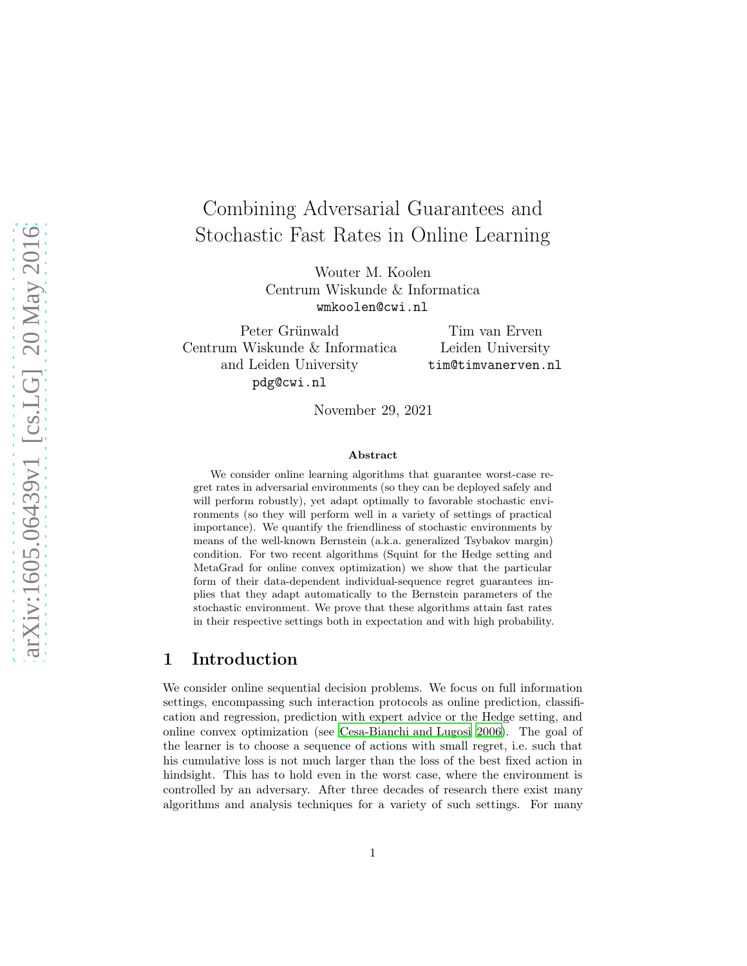# Combining Adversarial Guarantees and Stochastic Fast Rates in Online Learning

Wouter M. Koolen Centrum Wiskunde & Informatica wmkoolen@cwi.nl

Peter Grünwald Centrum Wiskunde & Informatica and Leiden University pdg@cwi.nl

Tim van Erven Leiden University tim@timvanerven.nl

November 29, 2021

#### Abstract

We consider online learning algorithms that guarantee worst-case regret rates in adversarial environments (so they can be deployed safely and will perform robustly), yet adapt optimally to favorable stochastic environments (so they will perform well in a variety of settings of practical importance). We quantify the friendliness of stochastic environments by means of the well-known Bernstein (a.k.a. generalized Tsybakov margin) condition. For two recent algorithms (Squint for the Hedge setting and MetaGrad for online convex optimization) we show that the particular form of their data-dependent individual-sequence regret guarantees implies that they adapt automatically to the Bernstein parameters of the stochastic environment. We prove that these algorithms attain fast rates in their respective settings both in expectation and with high probability.

### 1 Introduction

We consider online sequential decision problems. We focus on full information settings, encompassing such interaction protocols as online prediction, classification and regression, prediction with expert advice or the Hedge setting, and online convex optimization (see [Cesa-Bianchi and Lugosi 2006\)](#page-11-0). The goal of the learner is to choose a sequence of actions with small regret, i.e. such that his cumulative loss is not much larger than the loss of the best fixed action in hindsight. This has to hold even in the worst case, where the environment is controlled by an adversary. After three decades of research there exist many algorithms and analysis techniques for a variety of such settings. For many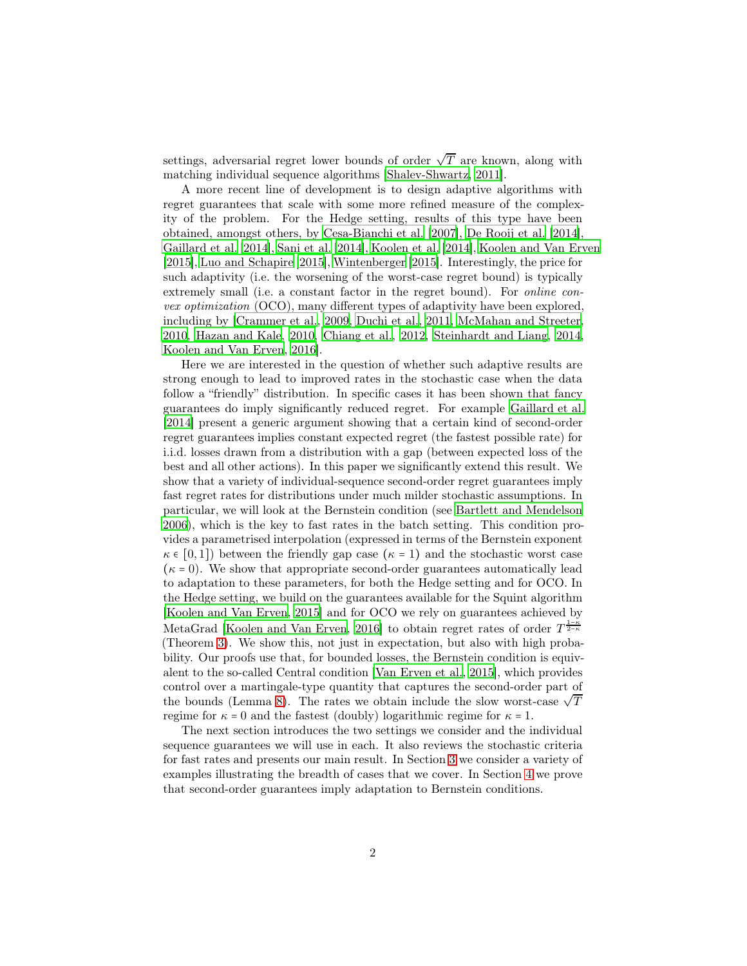settings, adversarial regret lower bounds of order  $\sqrt{T}$  are known, along with matching individual sequence algorithms [\[Shalev-Shwartz, 2011](#page-13-0)].

A more recent line of development is to design adaptive algorithms with regret guarantees that scale with some more refined measure of the complexity of the problem. For the Hedge setting, results of this type have been obtained, amongst others, by [Cesa-Bianchi et al. \[2007\]](#page-12-0), De [Rooij et al. \[2014\]](#page-13-1), [Gaillard et al. \[2014\]](#page-12-1), [Sani et al. \[2014\]](#page-13-2), [Koolen et al. \[2014](#page-13-3)], [Koolen and Van Erven](#page-12-2) [\[2015\]](#page-12-2), [Luo and Schapire \[2015\]](#page-13-4), [Wintenberger \[2015\]](#page-13-5). Interestingly, the price for such adaptivity (i.e. the worsening of the worst-case regret bound) is typically extremely small (i.e. a constant factor in the regret bound). For *online con*vex optimization (OCO), many different types of adaptivity have been explored, including by [\[Crammer et al.](#page-12-3), [2009](#page-12-3), [Duchi et al.](#page-12-4), [2011](#page-12-4), [McMahan and Streeter](#page-13-6), [2010,](#page-13-6) [Hazan and Kale, 2010,](#page-12-5) [Chiang et al.](#page-12-6), [2012,](#page-12-6) [Steinhardt and Liang, 2014](#page-13-7), [Koolen and Van Erven](#page-13-8), [2016\]](#page-13-8).

Here we are interested in the question of whether such adaptive results are strong enough to lead to improved rates in the stochastic case when the data follow a "friendly" distribution. In specific cases it has been shown that fancy guarantees do imply significantly reduced regret. For example [Gaillard et al.](#page-12-1) [\[2014\]](#page-12-1) present a generic argument showing that a certain kind of second-order regret guarantees implies constant expected regret (the fastest possible rate) for i.i.d. losses drawn from a distribution with a gap (between expected loss of the best and all other actions). In this paper we significantly extend this result. We show that a variety of individual-sequence second-order regret guarantees imply fast regret rates for distributions under much milder stochastic assumptions. In particular, we will look at the Bernstein condition (see [Bartlett and Mendelson](#page-11-1) [2006\)](#page-11-1), which is the key to fast rates in the batch setting. This condition provides a parametrised interpolation (expressed in terms of the Bernstein exponent  $\kappa \in [0,1]$ ) between the friendly gap case  $(\kappa = 1)$  and the stochastic worst case  $(\kappa = 0)$ . We show that appropriate second-order guarantees automatically lead to adaptation to these parameters, for both the Hedge setting and for OCO. In the Hedge setting, we build on the guarantees available for the Squint algorithm [\[Koolen and Van Erven, 2015\]](#page-12-2) and for OCO we rely on guarantees achieved by MetaGrad [\[Koolen and Van Erven, 2016](#page-13-8)] to obtain regret rates of order  $T^{\frac{1-\kappa}{2-\kappa}}$ (Theorem [3\)](#page-4-0). We show this, not just in expectation, but also with high probability. Our proofs use that, for bounded losses, the Bernstein condition is equivalent to the so-called Central condition [\[Van Erven et al.](#page-12-7), [2015\]](#page-12-7), which provides control over a martingale-type quantity that captures the second-order part of the bounds (Lemma [8\)](#page-10-0). The rates we obtain include the slow worst-case  $\sqrt{T}$ regime for  $\kappa = 0$  and the fastest (doubly) logarithmic regime for  $\kappa = 1$ .

The next section introduces the two settings we consider and the individual sequence guarantees we will use in each. It also reviews the stochastic criteria for fast rates and presents our main result. In Section [3](#page-6-0) we consider a variety of examples illustrating the breadth of cases that we cover. In Section [4](#page-8-0) we prove that second-order guarantees imply adaptation to Bernstein conditions.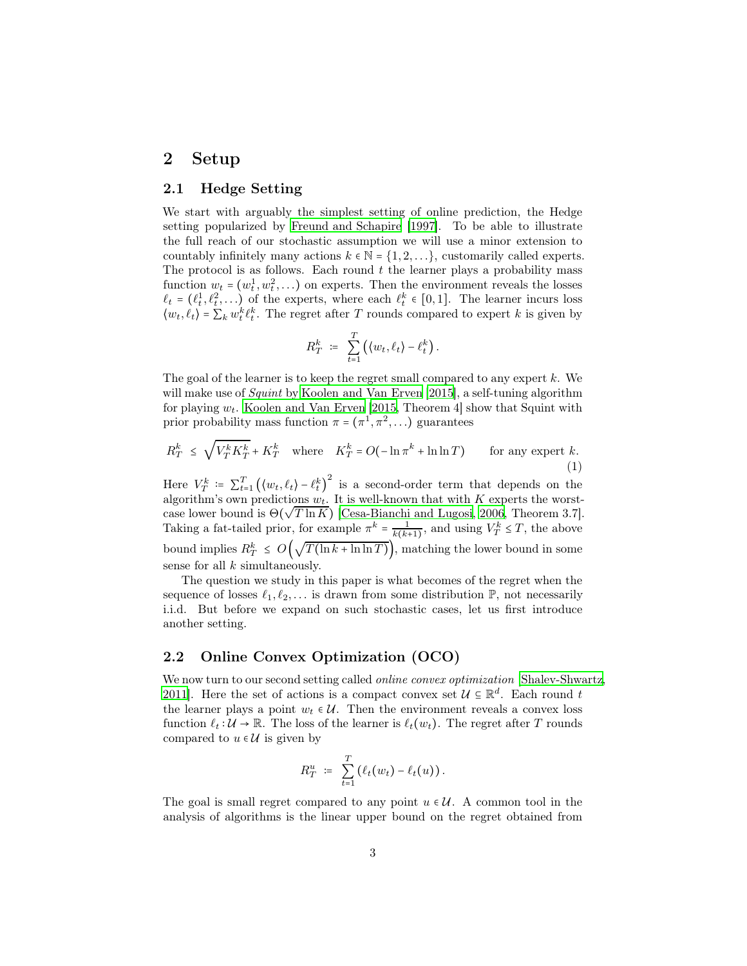### <span id="page-2-1"></span>2 Setup

#### 2.1 Hedge Setting

We start with arguably the simplest setting of online prediction, the Hedge setting popularized by [Freund and Schapire \[1997\]](#page-12-8). To be able to illustrate the full reach of our stochastic assumption we will use a minor extension to countably infinitely many actions  $k \in \mathbb{N} = \{1, 2, ...\}$ , customarily called experts. The protocol is as follows. Each round  $t$  the learner plays a probability mass function  $w_t = (w_t^1, w_t^2, \ldots)$  on experts. Then the environment reveals the losses  $\ell_t = (\ell_t^1, \ell_t^2, \ldots)$  of the experts, where each  $\ell_t^k \in [0, 1]$ . The learner incurs loss  $\langle w_t, \ell_t \rangle = \sum_k w_t^k \ell_t^k$ . The regret after T rounds compared to expert k is given by

<span id="page-2-0"></span>
$$
R_T^k = \sum_{t=1}^T \left( \langle w_t, \ell_t \rangle - \ell_t^k \right).
$$

The goal of the learner is to keep the regret small compared to any expert  $k$ . We will make use of *Squint* by [Koolen and Van Erven \[2015\]](#page-12-2), a self-tuning algorithm for playing  $w_t$ . [Koolen and Van Erven \[2015,](#page-12-2) Theorem 4] show that Squint with prior probability mass function  $\pi = (\pi^1, \pi^2, ...)$  guarantees

$$
R_T^k \le \sqrt{V_T^k K_T^k} + K_T^k \quad \text{where} \quad K_T^k = O(-\ln \pi^k + \ln \ln T) \qquad \text{for any expert } k. \tag{1}
$$

Here  $V_T^k = \sum_{t=1}^T ((w_t, \ell_t) - \ell_t^k)$ <sup>2</sup> is a second-order term that depends on the algorithm's own predictions  $w_t$ . It is well-known that with K experts the worstcase lower bound is  $\Theta(\sqrt{T \ln K})$  [\[Cesa-Bianchi and Lugosi, 2006,](#page-11-0) Theorem 3.7]. Taking a fat-tailed prior, for example  $\pi^k = \frac{1}{k(k+1)}$ , and using  $V_T^k \leq T$ , the above bound implies  $R_T^k \leq O\left(\sqrt{T(\ln k + \ln \ln T)}\right)$ , matching the lower bound in some sense for all  $k$  simultaneously.

The question we study in this paper is what becomes of the regret when the sequence of losses  $\ell_1, \ell_2, \ldots$  is drawn from some distribution  $\mathbb{P}$ , not necessarily i.i.d. But before we expand on such stochastic cases, let us first introduce another setting.

### <span id="page-2-2"></span>2.2 Online Convex Optimization (OCO)

We now turn to our second setting called *online convex optimization* [\[Shalev-Shwartz,](#page-13-0) [2011\]](#page-13-0). Here the set of actions is a compact convex set  $\mathcal{U} \subseteq \mathbb{R}^d$ . Each round t the learner plays a point  $w_t \in \mathcal{U}$ . Then the environment reveals a convex loss function  $\ell_t : \mathcal{U} \to \mathbb{R}$ . The loss of the learner is  $\ell_t(w_t)$ . The regret after T rounds compared to  $u \in \mathcal{U}$  is given by

$$
R_T^u = \sum_{t=1}^T (\ell_t(w_t) - \ell_t(u)).
$$

The goal is small regret compared to any point  $u \in \mathcal{U}$ . A common tool in the analysis of algorithms is the linear upper bound on the regret obtained from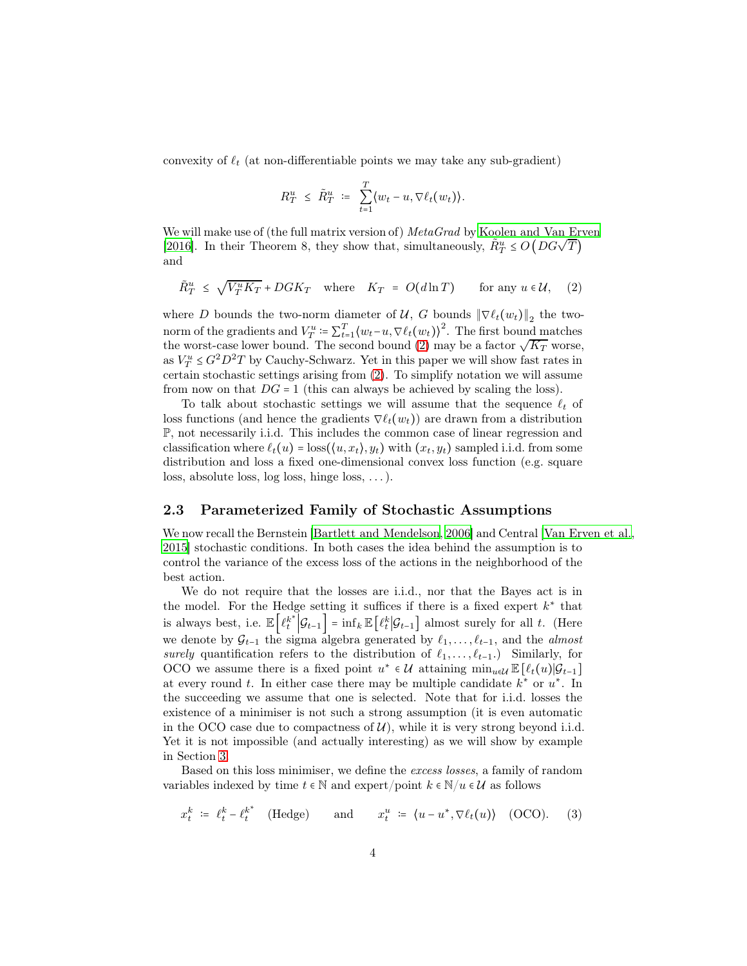convexity of  $\ell_t$  (at non-differentiable points we may take any sub-gradient)

$$
R_T^u \leq \tilde{R}_T^u = \sum_{t=1}^T \langle w_t - u, \nabla \ell_t(w_t) \rangle.
$$

We will make use of (the full matrix version of)  $MetaGrad$  by [Koolen and Van Erven](#page-13-8) (2016). In their Theorem 8, they show that, simultaneously,  $\tilde{R}^u_T \leq O(DG\sqrt{T})$ and

<span id="page-3-0"></span>
$$
\tilde{R}^u_T \leq \sqrt{V_T^u K_T} + D G K_T \quad \text{where} \quad K_T = O(d \ln T) \quad \text{for any } u \in \mathcal{U}, \quad (2)
$$

where D bounds the two-norm diameter of U, G bounds  $\|\nabla \ell_t(w_t)\|_2$  the twonorm of the gradients and  $V_T^u = \sum_{t=1}^T \langle w_t - u, \nabla \ell_t(w_t) \rangle^2$ . The first bound matches the worst-case lower bound. The second bound [\(2\)](#page-3-0) may be a factor  $\sqrt{K_T}$  worse, as  $V_T^u \leq G^2 D^2 T$  by Cauchy-Schwarz. Yet in this paper we will show fast rates in certain stochastic settings arising from [\(2\)](#page-3-0). To simplify notation we will assume from now on that  $DG = 1$  (this can always be achieved by scaling the loss).

To talk about stochastic settings we will assume that the sequence  $\ell_t$  of loss functions (and hence the gradients  $\nabla \ell_t(w_t)$ ) are drawn from a distribution P, not necessarily i.i.d. This includes the common case of linear regression and classification where  $\ell_t(u) = \text{loss}(\langle u, x_t \rangle, y_t)$  with  $(x_t, y_t)$  sampled i.i.d. from some distribution and loss a fixed one-dimensional convex loss function (e.g. square loss, absolute loss, log loss, hinge loss, . . . ).

#### 2.3 Parameterized Family of Stochastic Assumptions

We now recall the Bernstein [\[Bartlett and Mendelson, 2006\]](#page-11-1) and Central [\[Van Erven et al.,](#page-12-7) [2015\]](#page-12-7) stochastic conditions. In both cases the idea behind the assumption is to control the variance of the excess loss of the actions in the neighborhood of the best action.

We do not require that the losses are i.i.d., nor that the Bayes act is in the model. For the Hedge setting it suffices if there is a fixed expert  $k^*$  that is always best, i.e.  $\mathbb{E}\left[\ell_t^{k^*}\Big|\mathcal{G}_{t-1}\right] = \inf_k \mathbb{E}\left[\ell_t^k\Big|\mathcal{G}_{t-1}\right]$  almost surely for all t. (Here we denote by  $\mathcal{G}_{t-1}$  the sigma algebra generated by  $\ell_1, \ldots, \ell_{t-1}$ , and the *almost* surely quantification refers to the distribution of  $\ell_1, \ldots, \ell_{t-1}$ . Similarly, for OCO we assume there is a fixed point  $u^* \in \mathcal{U}$  attaining  $\min_{u \in \mathcal{U}} \mathbb{E}[\ell_t(u)|\mathcal{G}_{t-1}]$ at every round t. In either case there may be multiple candidate  $k^*$  or  $u^*$ . In the succeeding we assume that one is selected. Note that for i.i.d. losses the existence of a minimiser is not such a strong assumption (it is even automatic in the OCO case due to compactness of  $\mathcal{U}$ , while it is very strong beyond i.i.d. Yet it is not impossible (and actually interesting) as we will show by example in Section [3.](#page-6-0)

Based on this loss minimiser, we define the excess losses, a family of random variables indexed by time  $t \in \mathbb{N}$  and expert/point  $k \in \mathbb{N}/u \in \mathcal{U}$  as follows

<span id="page-3-1"></span>
$$
x_t^k \; \coloneqq \; \ell_t^k - \ell_t^{k^*} \quad \text{(Hedge)} \qquad \text{and} \qquad x_t^u \; \coloneqq \; \langle u - u^*, \nabla \ell_t(u) \rangle \quad \text{(OCO)}.
$$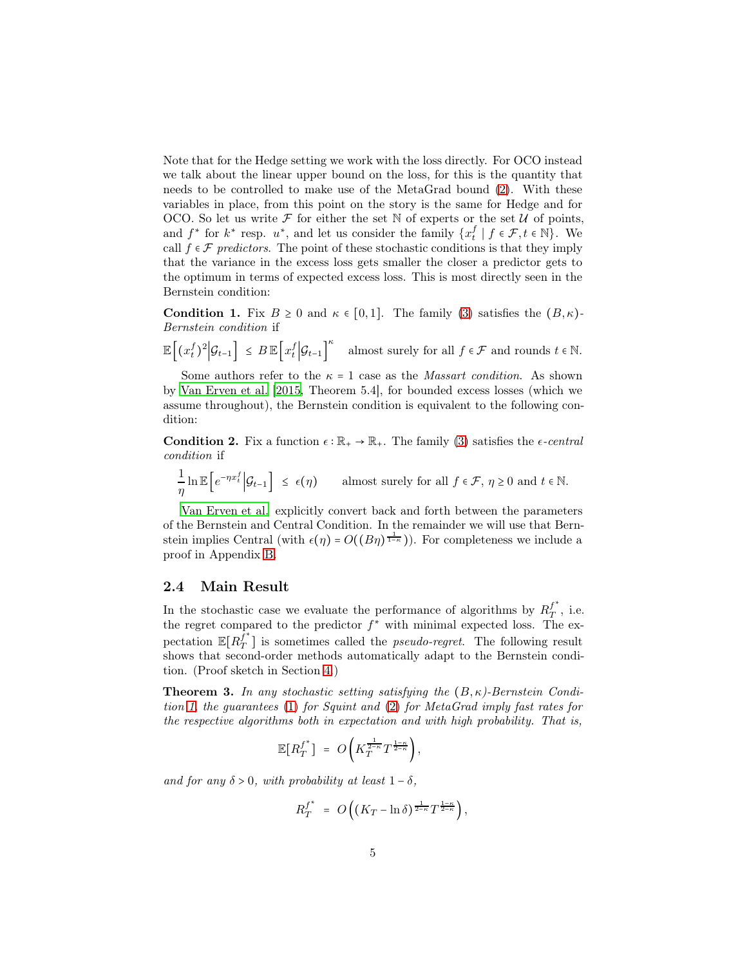Note that for the Hedge setting we work with the loss directly. For OCO instead we talk about the linear upper bound on the loss, for this is the quantity that needs to be controlled to make use of the MetaGrad bound [\(2\)](#page-3-0). With these variables in place, from this point on the story is the same for Hedge and for OCO. So let us write  $\mathcal F$  for either the set N of experts or the set U of points, and  $f^*$  for  $k^*$  resp.  $u^*$ , and let us consider the family  $\{x_t^f \mid f \in \mathcal{F}, t \in \mathbb{N}\}\.$  We call  $f \in \mathcal{F}$  predictors. The point of these stochastic conditions is that they imply that the variance in the excess loss gets smaller the closer a predictor gets to the optimum in terms of expected excess loss. This is most directly seen in the Bernstein condition:

<span id="page-4-1"></span>**Condition 1.** Fix  $B \ge 0$  and  $\kappa \in [0,1]$ . The family [\(3\)](#page-3-1) satisfies the  $(B,\kappa)$ -Bernstein condition if

 $\mathbb{E}\left[ (x_t^f)^2 \Big| \mathcal{G}_{t-1} \right] \leq B \mathbb{E}\left[ x_t^f \Big| \mathcal{G}_{t-1} \right]$  $\kappa$  almost surely for all  $f\in\mathcal{F}$  and rounds  $t\in\mathbb{N}.$ 

Some authors refer to the  $\kappa = 1$  case as the *Massart condition*. As shown by [Van Erven et al. \[2015](#page-12-7), Theorem 5.4], for bounded excess losses (which we assume throughout), the Bernstein condition is equivalent to the following condition:

<span id="page-4-2"></span>**Condition 2.** Fix a function  $\epsilon : \mathbb{R}_+ \to \mathbb{R}_+$ . The family [\(3\)](#page-3-1) satisfies the  $\epsilon$ -central condition if

1  $\frac{1}{\eta} \ln \mathbb{E}\Big[e^{-\eta x_t^f}\Big|\mathcal{G}_{t-1}\Big] \leq \epsilon(\eta) \qquad \text{almost surely for all } f \in \mathcal{F}, \ \eta \geq 0 \text{ and } t \in \mathbb{N}.$ 

[Van Erven et al.](#page-12-7) explicitly convert back and forth between the parameters of the Bernstein and Central Condition. In the remainder we will use that Bernstein implies Central (with  $\epsilon(\eta) = O((B\eta)^{\frac{1}{1-\kappa}})$ ). For completeness we include a proof in Appendix [B.](#page-15-0)

#### 2.4 Main Result

In the stochastic case we evaluate the performance of algorithms by  $R_T^{f^*}$  $T^{\phantom{\dagger}}$  , i.e. the regret compared to the predictor  $f^*$  with minimal expected loss. The expectation  $\mathbb{E}[R_T^{\tilde{f}^*}]$  $T<sub>T</sub>$  is sometimes called the *pseudo-regret*. The following result shows that second-order methods automatically adapt to the Bernstein condition. (Proof sketch in Section [4.](#page-8-0))

<span id="page-4-0"></span>**Theorem 3.** In any stochastic setting satisfying the  $(B, \kappa)$ -Bernstein Condition [1,](#page-4-1) the guarantees [\(1\)](#page-2-0) for Squint and [\(2\)](#page-3-0) for MetaGrad imply fast rates for the respective algorithms both in expectation and with high probability. That is,

$$
\mathbb{E}[R_T^{f^*}] = O\left(K_T^{\frac{1}{2-\kappa}}T^{\frac{1-\kappa}{2-\kappa}}\right),\,
$$

and for any  $\delta > 0$ , with probability at least  $1 - \delta$ ,

$$
R_T^{f^*} = O\left((K_T - \ln \delta)^{\frac{1}{2-\kappa}} T^{\frac{1-\kappa}{2-\kappa}}\right),\,
$$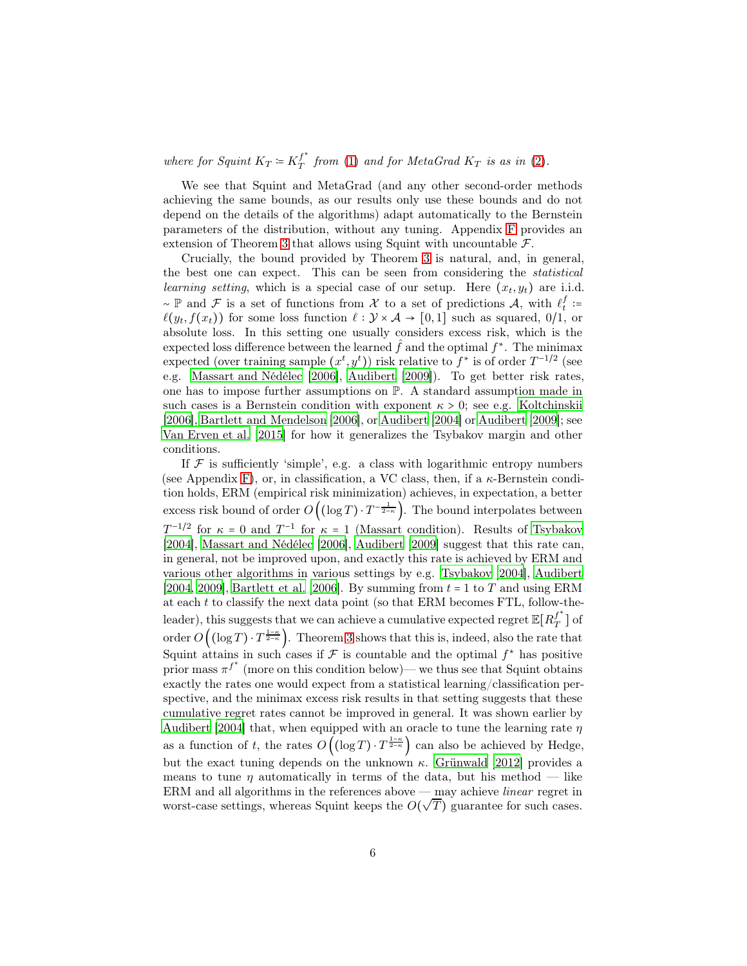where for Squint  $K_T \coloneqq K_T^{f^*}$  $T^J$  from [\(1\)](#page-2-0) and for MetaGrad  $K_T$  is as in [\(2\)](#page-3-0).

We see that Squint and MetaGrad (and any other second-order methods achieving the same bounds, as our results only use these bounds and do not depend on the details of the algorithms) adapt automatically to the Bernstein parameters of the distribution, without any tuning. Appendix [F](#page-18-0) provides an extension of Theorem [3](#page-4-0) that allows using Squint with uncountable  $\mathcal{F}$ .

Crucially, the bound provided by Theorem [3](#page-4-0) is natural, and, in general, the best one can expect. This can be seen from considering the statistical learning setting, which is a special case of our setup. Here  $(x_t, y_t)$  are i.i.d.  $\sim \mathbb{P}$  and  $\mathcal{F}$  is a set of functions from  $\mathcal{X}$  to a set of predictions  $\mathcal{A}$ , with  $\ell_t^f$ :=  $\ell(y_t, f(x_t))$  for some loss function  $\ell : \mathcal{Y} \times \mathcal{A} \to [0,1]$  such as squared,  $0/1$ , or absolute loss. In this setting one usually considers excess risk, which is the expected loss difference between the learned  $\hat{f}$  and the optimal  $f^*$ . The minimax expected (over training sample  $(x^t, y^t)$ ) risk relative to  $f^*$  is of order  $T^{-1/2}$  (see e.g. [Massart and Nédélec \[2006](#page-13-9)], [Audibert \[2009\]](#page-11-2)). To get better risk rates, one has to impose further assumptions on P. A standard assumption made in such cases is a Bernstein condition with exponent  $\kappa > 0$ ; see e.g. [Koltchinskii](#page-12-9) [\[2006\]](#page-12-9), [Bartlett and Mendelson \[2006\]](#page-11-1), or [Audibert \[2004](#page-11-3)] or [Audibert \[2009\]](#page-11-2); see [Van Erven et al. \[2015\]](#page-12-7) for how it generalizes the Tsybakov margin and other conditions.

If  $\mathcal F$  is sufficiently 'simple', e.g. a class with logarithmic entropy numbers (see Appendix [F\)](#page-18-0), or, in classification, a VC class, then, if a  $\kappa$ -Bernstein condition holds, ERM (empirical risk minimization) achieves, in expectation, a better excess risk bound of order  $O((\log T) \cdot T^{-\frac{1}{2-\kappa}})$ . The bound interpolates between  $T^{-1/2}$  for  $\kappa = 0$  and  $T^{-1}$  for  $\kappa = 1$  (Massart condition). Results of [Tsybakov](#page-13-10) [\[2004\]](#page-13-10), [Massart and Nédélec \[2006\]](#page-13-9), [Audibert \[2009\]](#page-11-2) suggest that this rate can, in general, not be improved upon, and exactly this rate is achieved by ERM and various other algorithms in various settings by e.g. [Tsybakov \[2004](#page-13-10)], [Audibert](#page-11-3) [\[2004,](#page-11-3) [2009](#page-11-2)], [Bartlett et al. \[2006](#page-11-4)]. By summing from  $t = 1$  to T and using ERM at each  $t$  to classify the next data point (so that ERM becomes FTL, follow-theleader), this suggests that we can achieve a cumulative expected regret  $\mathbb{E}[R^{f^*}_T$  $\frac{J}{T}$ ] of order  $O((\log T) \cdot T^{\frac{1-\kappa}{2-\kappa}})$ . Theorem [3](#page-4-0) shows that this is, indeed, also the rate that Squint attains in such cases if  $\mathcal F$  is countable and the optimal  $f^*$  has positive prior mass  $\pi^{f^*}$  (more on this condition below)— we thus see that Squint obtains exactly the rates one would expect from a statistical learning/classification perspective, and the minimax excess risk results in that setting suggests that these cumulative regret rates cannot be improved in general. It was shown earlier by [Audibert \[2004\]](#page-11-3) that, when equipped with an oracle to tune the learning rate  $\eta$ as a function of t, the rates  $O\left((\log T) \cdot T^{\frac{1-\kappa}{2-\kappa}}\right)$  can also be achieved by Hedge, but the exact tuning depends on the unknown  $\kappa$ . [Grünwald \[2012](#page-12-10)] provides a means to tune  $\eta$  automatically in terms of the data, but his method — like ERM and all algorithms in the references above — may achieve linear regret in ETGA and an algorithms in the references above  $\lim_{M}$  define to linear regret in worst-case settings, whereas Squint keeps the  $O(\sqrt{T})$  guarantee for such cases.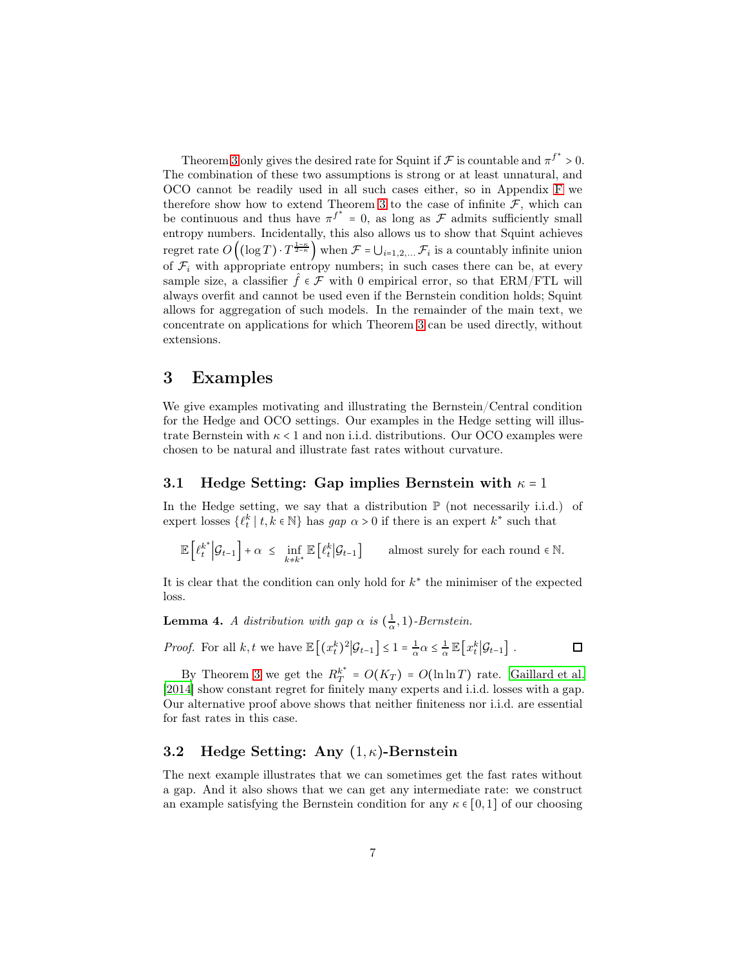Theorem [3](#page-4-0) only gives the desired rate for Squint if  $\mathcal F$  is countable and  $\pi^{f^*} > 0$ . The combination of these two assumptions is strong or at least unnatural, and OCO cannot be readily used in all such cases either, so in Appendix [F](#page-18-0) we therefore show how to extend Theorem [3](#page-4-0) to the case of infinite  $\mathcal{F}$ , which can be continuous and thus have  $\pi^{f^*} = 0$ , as long as  $\mathcal F$  admits sufficiently small entropy numbers. Incidentally, this also allows us to show that Squint achieves regret rate  $O\left((\log T) \cdot T^{\frac{1-\kappa}{2-\kappa}}\right)$  when  $\mathcal{F} = \bigcup_{i=1,2,...} \mathcal{F}_i$  is a countably infinite union of  $\mathcal{F}_i$  with appropriate entropy numbers; in such cases there can be, at every sample size, a classifier  $\hat{f} \in \mathcal{F}$  with 0 empirical error, so that ERM/FTL will always overfit and cannot be used even if the Bernstein condition holds; Squint allows for aggregation of such models. In the remainder of the main text, we concentrate on applications for which Theorem [3](#page-4-0) can be used directly, without extensions.

### <span id="page-6-0"></span>3 Examples

We give examples motivating and illustrating the Bernstein/Central condition for the Hedge and OCO settings. Our examples in the Hedge setting will illustrate Bernstein with  $\kappa < 1$  and non i.i.d. distributions. Our OCO examples were chosen to be natural and illustrate fast rates without curvature.

#### 3.1 Hedge Setting: Gap implies Bernstein with  $\kappa = 1$

In the Hedge setting, we say that a distribution  $\mathbb P$  (not necessarily i.i.d.) of expert losses  $\{\ell_t^k | t, k \in \mathbb{N}\}$  has  $gap \alpha > 0$  if there is an expert  $k^*$  such that

$$
\mathbb{E}\left[ \ell_t^{k^\ast}\Big| \mathcal{G}_{t-1} \right] + \alpha ~\leq~ \inf_{k\neq k^\ast} \mathbb{E}\left[ \ell_t^k\Big| \mathcal{G}_{t-1} \right] \qquad \text{almost surely for each round $\epsilon$ $\mathbb{N}$}.
$$

It is clear that the condition can only hold for  $k^*$  the minimiser of the expected loss.

**Lemma 4.** A distribution with gap  $\alpha$  is  $\left(\frac{1}{\alpha}\right)$  $\frac{1}{\alpha}, 1$ )-Bernstein.

*Proof.* For all  $k, t$  we have  $\mathbb{E}\left[ (x_t^k)^2 | \mathcal{G}_{t-1} \right] \leq 1 = \frac{1}{\alpha}$  $\frac{1}{\alpha} \alpha \leq \frac{1}{\alpha}$  $\frac{1}{\alpha}\mathbb{E}\big[x_t^k\big|\mathcal{G}_{t-1}\big]$ .

By Theorem [3](#page-4-0) we get the  $R_T^{k^*}$  $y_T^{k^*} = O(K_T) = O(\ln \ln T)$  rate. [Gaillard et al.](#page-12-1) [\[2014\]](#page-12-1) show constant regret for finitely many experts and i.i.d. losses with a gap. Our alternative proof above shows that neither finiteness nor i.i.d. are essential for fast rates in this case.

 $\Box$ 

### 3.2 Hedge Setting: Any  $(1, \kappa)$ -Bernstein

The next example illustrates that we can sometimes get the fast rates without a gap. And it also shows that we can get any intermediate rate: we construct an example satisfying the Bernstein condition for any  $\kappa \in [0,1]$  of our choosing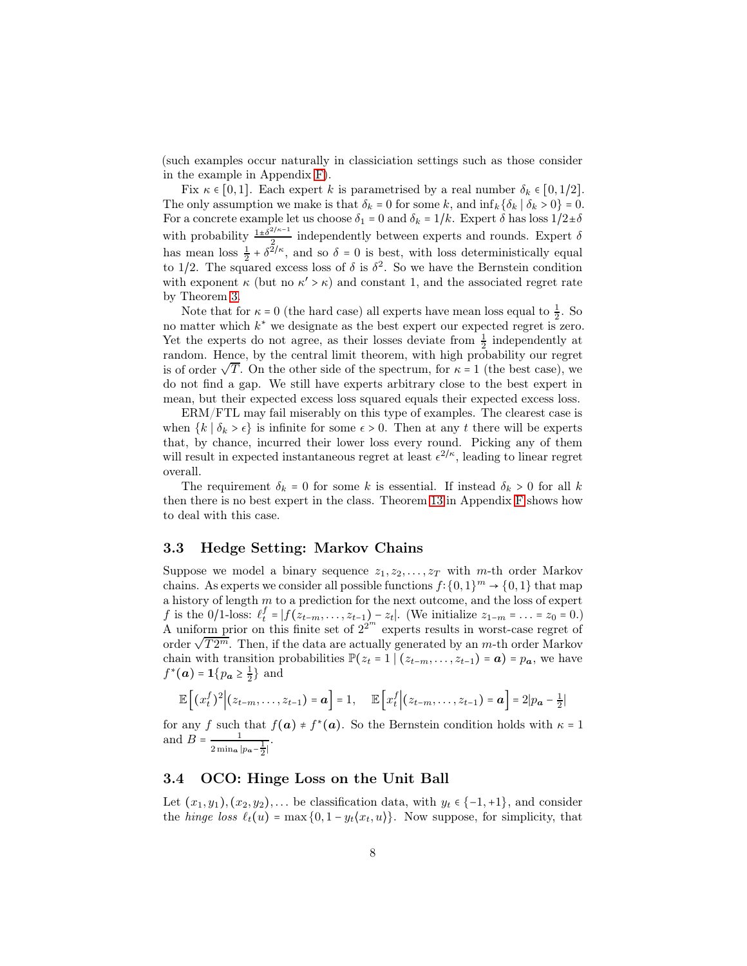(such examples occur naturally in classiciation settings such as those consider in the example in Appendix [F\)](#page-18-0).

Fix  $\kappa \in [0,1]$ . Each expert k is parametrised by a real number  $\delta_k \in [0,1/2]$ . The only assumption we make is that  $\delta_k = 0$  for some k, and  $\inf_k {\delta_k | \delta_k > 0} = 0$ . For a concrete example let us choose  $\delta_1 = 0$  and  $\delta_k = 1/k$ . Expert  $\delta$  has loss  $1/2 \pm \delta$ with probability  $\frac{1 \pm \delta^{2/\kappa-1}}{2}$  $\frac{1}{2}$  independently between experts and rounds. Expert  $\delta$ has mean loss  $\frac{1}{2} + \delta^{2/\kappa}$ , and so  $\delta = 0$  is best, with loss deterministically equal to 1/2. The squared excess loss of  $\delta$  is  $\delta^2$ . So we have the Bernstein condition with exponent  $\kappa$  (but no  $\kappa' > \kappa$ ) and constant 1, and the associated regret rate by Theorem [3.](#page-4-0)

Note that for  $\kappa = 0$  (the hard case) all experts have mean loss equal to  $\frac{1}{2}$ . So no matter which  $k^*$  we designate as the best expert our expected regret is zero. Yet the experts do not agree, as their losses deviate from  $\frac{1}{2}$  independently at random. Hence, by the central limit theorem, with high probability our regret is of order  $\sqrt{T}$ . On the other side of the spectrum, for  $\kappa = 1$  (the best case), we do not find a gap. We still have experts arbitrary close to the best expert in mean, but their expected excess loss squared equals their expected excess loss.

ERM/FTL may fail miserably on this type of examples. The clearest case is when  ${k | \delta_k > \epsilon}$  is infinite for some  $\epsilon > 0$ . Then at any t there will be experts that, by chance, incurred their lower loss every round. Picking any of them will result in expected instantaneous regret at least  $\epsilon^{2/\kappa}$ , leading to linear regret overall.

The requirement  $\delta_k = 0$  for some k is essential. If instead  $\delta_k > 0$  for all k then there is no best expert in the class. Theorem [13](#page-19-0) in Appendix [F](#page-18-0) shows how to deal with this case.

#### 3.3 Hedge Setting: Markov Chains

Suppose we model a binary sequence  $z_1, z_2, \ldots, z_T$  with m-th order Markov chains. As experts we consider all possible functions  $f: \{0,1\}^m \to \{0,1\}$  that map a history of length  $m$  to a prediction for the next outcome, and the loss of expert f is the 0/1-loss:  $\ell_t^f = |f(z_{t-m},...,z_{t-1}) - z_t|$ . (We initialize  $z_{1-m} = ... = z_0 = 0$ .) A uniform prior on this finite set of  $2^{2^m}$  experts results in worst-case regret of order  $\sqrt{T2^m}$ . Then, if the data are actually generated by an m-th order Markov chain with transition probabilities  $\mathbb{P}(z_t = 1 \mid (z_{t-m}, \ldots, z_{t-1}) = a) = p_a$ , we have  $f^*(a) = \mathbf{1} \{ p_a \ge \frac{1}{2} \}$  and

$$
\mathbb{E}\left[\left(x_t^f\right)^2\middle|(z_{t-m},\ldots,z_{t-1})=\boldsymbol{a}\right]=1,\quad \mathbb{E}\left[x_t^f\middle|(z_{t-m},\ldots,z_{t-1})=\boldsymbol{a}\right]=2|p_{\boldsymbol{a}}-\frac{1}{2}|
$$

for any f such that  $f(\mathbf{a}) \neq f^*(\mathbf{a})$ . So the Bernstein condition holds with  $\kappa = 1$ and  $B = \frac{1}{\sqrt{1 - \frac{1}{2}}}$  $\frac{1}{2}$ min<sub>a</sub>  $|p_{a} - \frac{1}{2}|$ .

#### 3.4 OCO: Hinge Loss on the Unit Ball

Let  $(x_1, y_1), (x_2, y_2), \ldots$  be classification data, with  $y_t \in \{-1, +1\}$ , and consider the hinge loss  $\ell_t(u) = \max\{0, 1 - y_t\langle x_t, u \rangle\}$ . Now suppose, for simplicity, that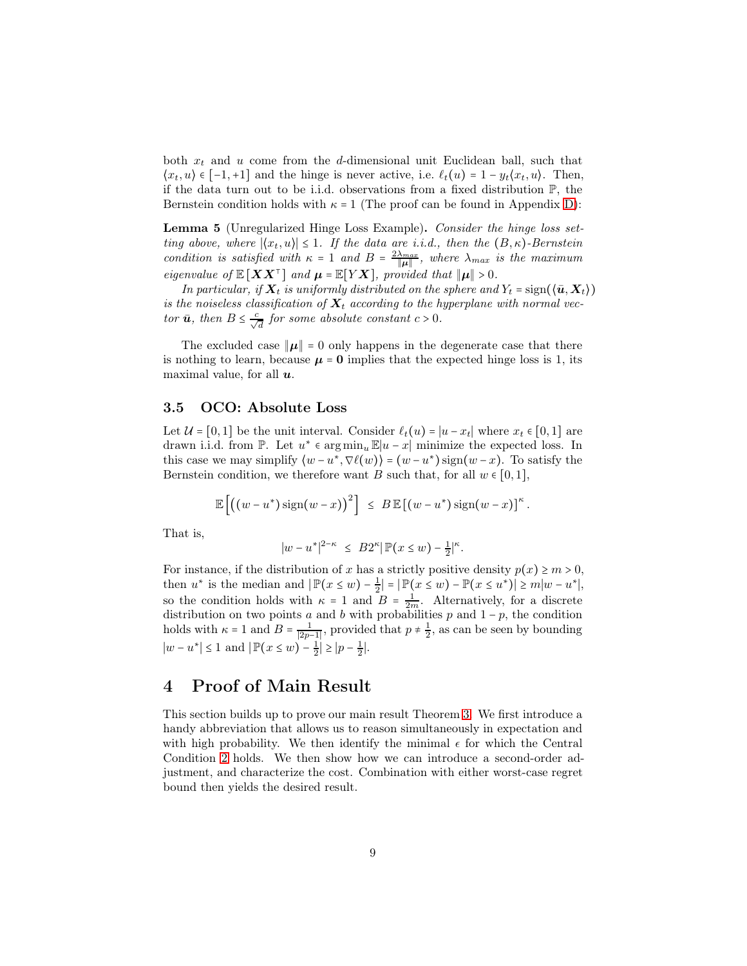both  $x_t$  and u come from the d-dimensional unit Euclidean ball, such that  $\langle x_t, u \rangle \in [-1, +1]$  and the hinge is never active, i.e.  $\ell_t(u) = 1 - y_t(x_t, u)$ . Then, if the data turn out to be i.i.d. observations from a fixed distribution P, the Bernstein condition holds with  $\kappa = 1$  (The proof can be found in Appendix [D\)](#page-17-0):

<span id="page-8-1"></span>Lemma 5 (Unregularized Hinge Loss Example). Consider the hinge loss setting above, where  $|\langle x_t, u \rangle| \leq 1$ . If the data are i.i.d., then the  $(B, \kappa)$ -Bernstein condition is satisfied with  $\kappa = 1$  and  $B = \frac{2\lambda_{max}}{||u||}$  $\frac{\lambda_{max}}{\|\mu\|}$ , where  $\lambda_{max}$  is the maximum eigenvalue of  $\mathbb{E}[XX^{\top}]$  and  $\mu = \mathbb{E}[YX]$ , provided that  $\|\mu\| > 0$ .

In particular, if  $X_t$  is uniformly distributed on the sphere and  $Y_t = \text{sign}(\langle \bar{u}, X_t \rangle)$ is the noiseless classification of  $X_t$  according to the hyperplane with normal vector  $\bar{u}$ , then  $B \leq \frac{c}{\sqrt{d}}$  for some absolute constant  $c > 0$ .

The excluded case  $\|\mu\| = 0$  only happens in the degenerate case that there is nothing to learn, because  $\mu = 0$  implies that the expected hinge loss is 1, its maximal value, for all  $u$ .

#### 3.5 OCO: Absolute Loss

Let  $\mathcal{U} = [0, 1]$  be the unit interval. Consider  $\ell_t(u) = |u - x_t|$  where  $x_t \in [0, 1]$  are drawn i.i.d. from  $\mathbb{P}$ . Let  $u^* \in \arg\min_u \mathbb{E}|u-x|$  minimize the expected loss. In this case we may simplify  $\langle w - u^*, \nabla \ell(w) \rangle = (w - u^*) \operatorname{sign}(w - x)$ . To satisfy the Bernstein condition, we therefore want B such that, for all  $w \in [0,1]$ ,

$$
\mathbb{E}\left[\left((w-u^*)\operatorname{sign}(w-x)\right)^2\right] \leq B \mathbb{E}\left[(w-u^*)\operatorname{sign}(w-x)\right]^{\kappa}.
$$

That is,

$$
|w-u^*|^{2-\kappa} \ \leq \ B 2^{\kappa} | \, \mathbb{P} \big( x \leq w \big) - \tfrac{1}{2} |^{\kappa}.
$$

For instance, if the distribution of x has a strictly positive density  $p(x) \ge m > 0$ , then  $u^*$  is the median and  $|\mathbb{P}(x \le w) - \frac{1}{2}| = |\mathbb{P}(x \le w) - \mathbb{P}(x \le u^*)| \ge m|w - u^*|$ , so the condition holds with  $\kappa = 1$  and  $B = \frac{1}{2m}$ . Alternatively, for a discrete distribution on two points a and b with probabilities p and  $1-p$ , the condition holds with  $\kappa = 1$  and  $B = \frac{1}{|2p-1|}$ , provided that  $p \neq \frac{1}{2}$ , as can be seen by bounding  $|w - u^*| \le 1$  and  $|\mathbb{P}(x \le w) - \frac{1}{2}| \ge |p - \frac{1}{2}|.$ 

### <span id="page-8-0"></span>4 Proof of Main Result

This section builds up to prove our main result Theorem [3.](#page-4-0) We first introduce a handy abbreviation that allows us to reason simultaneously in expectation and with high probability. We then identify the minimal  $\epsilon$  for which the Central Condition [2](#page-4-2) holds. We then show how we can introduce a second-order adjustment, and characterize the cost. Combination with either worst-case regret bound then yields the desired result.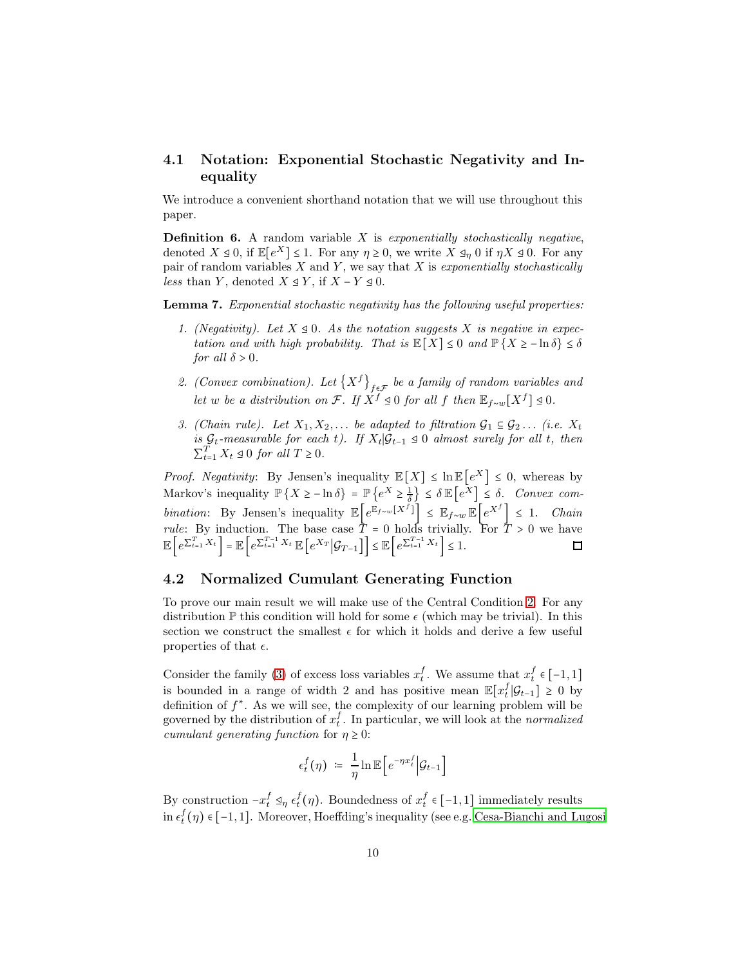### <span id="page-9-1"></span>4.1 Notation: Exponential Stochastic Negativity and Inequality

<span id="page-9-0"></span>We introduce a convenient shorthand notation that we will use throughout this paper.

**Definition 6.** A random variable  $X$  is exponentially stochastically negative, denoted  $X \trianglelefteq 0$ , if  $\mathbb{E}[e^X] \leq 1$ . For any  $\eta \geq 0$ , we write  $X \trianglelefteq_{\eta} 0$  if  $\eta X \trianglelefteq 0$ . For any pair of random variables  $X$  and  $Y$ , we say that  $X$  is exponentially stochastically *less* than Y, denoted  $X \trianglelefteq Y$ , if  $X - Y \trianglelefteq 0$ .

<span id="page-9-2"></span>Lemma 7. Exponential stochastic negativity has the following useful properties:

- 1. (Negativity). Let  $X \trianglelefteq 0$ . As the notation suggests X is negative in expectation and with high probability. That is  $\mathbb{E}[X] \leq 0$  and  $\mathbb{P}\{X \geq -\ln \delta\} \leq \delta$ for all  $\delta > 0$ .
- 2. (Convex combination). Let  ${X^f}_{f \in \mathcal{F}}$  be a family of random variables and let w be a distribution on  $\mathcal{F}$ . If  $X^f \trianglelefteq 0$  for all f then  $\mathbb{E}_{f \sim w}[X^f] \trianglelefteq 0$ .
- 3. (Chain rule). Let  $X_1, X_2, \ldots$  be adapted to filtration  $\mathcal{G}_1 \subseteq \mathcal{G}_2 \ldots$  (i.e.  $X_t$ ) is  $\mathcal{G}_t$ -measurable for each t). If  $X_t | \mathcal{G}_{t-1} \leq 0$  almost surely for all t, then  $\sum_{t=1}^{T} X_t \trianglelefteq 0$  for all  $T \geq 0$ .

*Proof.* Negativity: By Jensen's inequality  $\mathbb{E}[X] \leq \ln \mathbb{E}[e^X] \leq 0$ , whereas by Markov's inequality  $\mathbb{P}\left\{X \geq -\ln \delta\right\} = \mathbb{P}\left\{e^X \geq \frac{1}{\delta}\right\}$  $\left\{\frac{1}{\delta}\right\} \leq \delta \mathbb{E}\left[e^X\right] \leq \delta$ . Convex combination: By Jensen's inequality  $\mathbb{E}\left[e^{\mathbb{E}_{f\sim w}[X^f]}\right] \leq \mathbb{E}_{f\sim w}\mathbb{E}\left[e^{X^f}\right] \leq 1$ . Chain *rule*: By induction. The base case  $\overline{T} = 0$  holds trivially. For  $\overline{T} > 0$  we have  $\mathbb{E}\left[e^{\sum_{t=1}^{T}X_{t}}\right] = \mathbb{E}\left[e^{\sum_{t=1}^{T-1}X_{t}}\mathbb{E}\left[e^{X_{T}}\big|\mathcal{G}_{T-1}\right]\right] \leq \mathbb{E}\left[e^{\sum_{t=1}^{T-1}X_{t}}\right] \leq 1.$ 

#### 4.2 Normalized Cumulant Generating Function

To prove our main result we will make use of the Central Condition [2.](#page-4-2) For any distribution  $\mathbb P$  this condition will hold for some  $\epsilon$  (which may be trivial). In this section we construct the smallest  $\epsilon$  for which it holds and derive a few useful properties of that  $\epsilon$ .

Consider the family [\(3\)](#page-3-1) of excess loss variables  $x_t^f$ . We assume that  $x_t^f \in [-1,1]$ is bounded in a range of width 2 and has positive mean  $\mathbb{E}[x_t^f | \mathcal{G}_{t-1}] \geq 0$  by definition of  $f^*$ . As we will see, the complexity of our learning problem will be governed by the distribution of  $x_t^f$ . In particular, we will look at the *normalized* cumulant generating function for  $\eta \geq 0$ :

$$
\epsilon_t^f(\eta) \; \coloneqq \; \frac{1}{\eta} \ln \mathbb{E}\Big[e^{-\eta x_t^f}\Big|\mathcal{G}_{t-1}\Big]
$$

By construction  $-x_t^f \mathcal{A}_\eta \epsilon_t^f(\eta)$ . Boundedness of  $x_t^f \in [-1,1]$  immediately results in  $\epsilon_t^f(\eta) \in [-1,1]$ . Moreover, Hoeffding's inequality (see e.g. [Cesa-Bianchi and Lugosi](#page-11-0)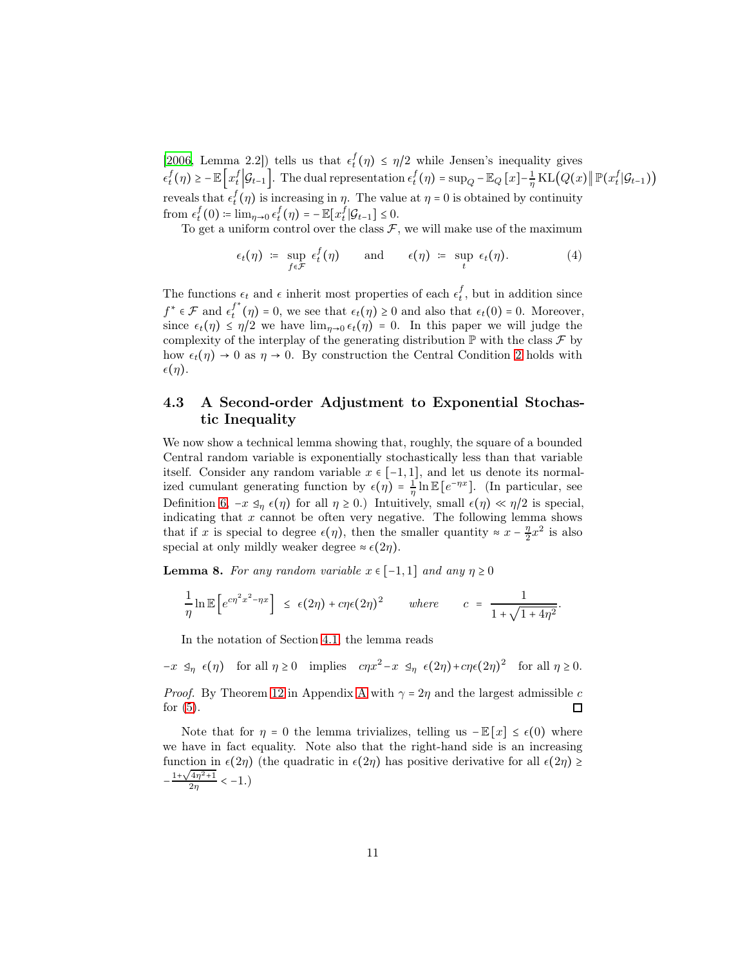[\[2006,](#page-11-0) Lemma 2.2]) tells us that  $\epsilon_t^f(\eta) \leq \eta/2$  while Jensen's inequality gives  $\epsilon_t^f(\eta) \ge -\mathbb{E}\left[x_t^f\Big|\mathcal{G}_{t-1}\right]$ . The dual representation  $\epsilon_t^f(\eta) = \sup_Q - \mathbb{E}_Q[x] - \frac{1}{\eta}$  $\frac{1}{\eta}$ KL $\left(Q(x)\right)\|\mathbb{P}(x_t^f|\mathcal{G}_{t-1})\right)$ reveals that  $\epsilon_t^f(\eta)$  is increasing in  $\eta$ . The value at  $\eta = 0$  is obtained by continuity from  $\epsilon_t^f(0) = \lim_{\eta \to 0} \epsilon_t^f(\eta) = -\mathbb{E}[x_t^f | \mathcal{G}_{t-1}] \leq 0.$ 

To get a uniform control over the class  $\mathcal{F}$ , we will make use of the maximum

<span id="page-10-1"></span>
$$
\epsilon_t(\eta) \; \coloneqq \; \sup_{f \in \mathcal{F}} \; \epsilon_t^f(\eta) \qquad \text{and} \qquad \epsilon(\eta) \; \coloneqq \; \sup_t \; \epsilon_t(\eta). \tag{4}
$$

The functions  $\epsilon_t$  and  $\epsilon$  inherit most properties of each  $\epsilon_t^f$ , but in addition since  $f^*\in\mathcal{F}$  and  $\epsilon_t^{f^*}$  $t^{(n)}(n) = 0$ , we see that  $\epsilon_t(n) \ge 0$  and also that  $\epsilon_t(0) = 0$ . Moreover, since  $\epsilon_t(\eta) \leq \eta/2$  we have  $\lim_{\eta \to 0} \epsilon_t(\eta) = 0$ . In this paper we will judge the complexity of the interplay of the generating distribution  $\mathbb P$  with the class  $\mathcal F$  by how  $\epsilon_t(\eta) \to 0$  as  $\eta \to 0$ . By construction the Central Condition [2](#page-4-2) holds with  $\epsilon(\eta)$ .

### 4.3 A Second-order Adjustment to Exponential Stochastic Inequality

We now show a technical lemma showing that, roughly, the square of a bounded Central random variable is exponentially stochastically less than that variable itself. Consider any random variable  $x \in [-1,1]$ , and let us denote its normalized cumulant generating function by  $\epsilon(\eta) = \frac{1}{\eta}$  $\frac{1}{\eta} \ln \mathbb{E}\left[e^{-\eta x}\right]$ . (In particular, see Definition [6,](#page-9-0)  $-x \leq_{\eta} \epsilon(\eta)$  for all  $\eta \geq 0$ .) Intuitively, small  $\epsilon(\eta) \ll \eta/2$  is special, indicating that  $x$  cannot be often very negative. The following lemma shows that if x is special to degree  $\epsilon(\eta)$ , then the smaller quantity ≈  $x - \frac{\eta}{2}x^2$  is also special at only mildly weaker degree  $\approx \epsilon(2\eta)$ .

<span id="page-10-0"></span>**Lemma 8.** For any random variable  $x \in [-1,1]$  and any  $\eta \ge 0$ 

$$
\frac{1}{\eta}\ln \mathbb{E}\left[e^{c\eta^2x^2-\eta x}\right] \leq \epsilon(2\eta)+c\eta\epsilon(2\eta)^2 \quad where \quad c = \frac{1}{1+\sqrt{1+4\eta^2}}.
$$

In the notation of Section [4.1,](#page-9-1) the lemma reads

 $-x \leq_{\eta} \epsilon(\eta)$  for all  $\eta \geq 0$  implies  $c\eta x^2 - x \leq_{\eta} \epsilon(2\eta) + c\eta\epsilon(2\eta)^2$  for all  $\eta \geq 0$ .

*Proof.* By Theorem [12](#page-15-1) in [A](#page-14-0)ppendix A with  $\gamma = 2\eta$  and the largest admissible c for  $(5)$ . П

Note that for  $\eta = 0$  the lemma trivializes, telling us  $-E[x] \leq \epsilon(0)$  where we have in fact equality. Note also that the right-hand side is an increasing function in  $\epsilon(2\eta)$  (the quadratic in  $\epsilon(2\eta)$  has positive derivative for all  $\epsilon(2\eta) \ge$  $-\frac{1+\sqrt{4\eta^2+1}}{2\eta} < -1.$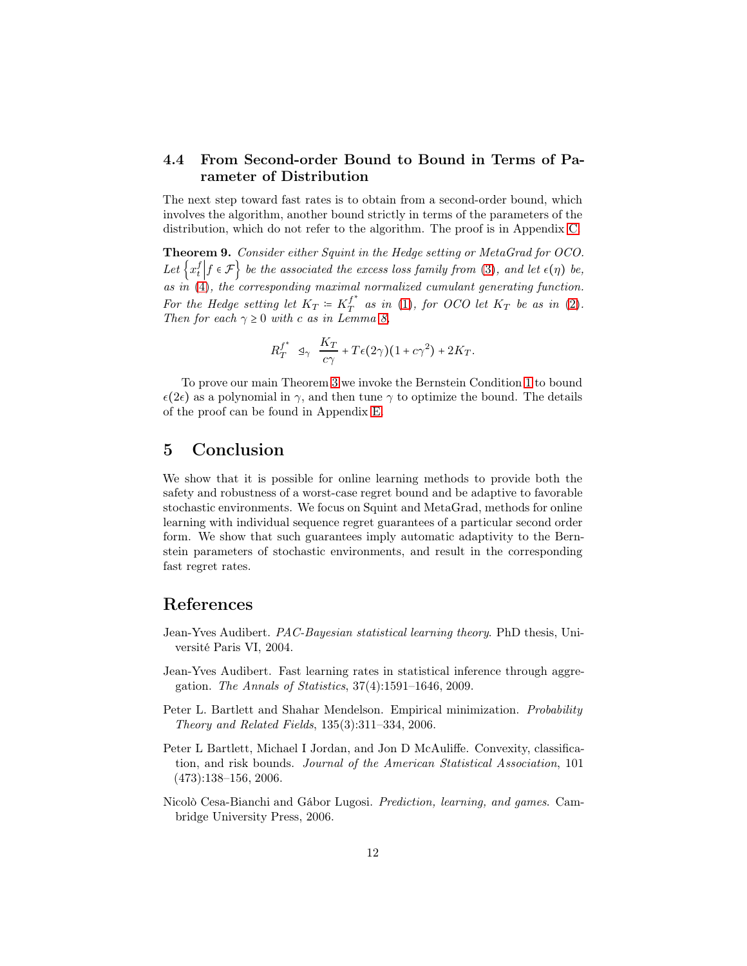### 4.4 From Second-order Bound to Bound in Terms of Parameter of Distribution

The next step toward fast rates is to obtain from a second-order bound, which involves the algorithm, another bound strictly in terms of the parameters of the distribution, which do not refer to the algorithm. The proof is in Appendix [C.](#page-16-0)

<span id="page-11-5"></span>Theorem 9. Consider either Squint in the Hedge setting or MetaGrad for OCO. Let  $\left\{x_t^f \middle| f \in \mathcal{F} \right\}$  be the associated the excess loss family from [\(3\)](#page-3-1), and let  $\epsilon(\eta)$  be, as in  $(4)$ , the corresponding maximal normalized cumulant generating function. For the Hedge setting let  $K_T = K_T^{f^*}$  $T^I$  as in [\(1\)](#page-2-0), for OCO let  $K_T$  be as in [\(2\)](#page-3-0). Then for each  $\gamma \geq 0$  with c as in Lemma [8,](#page-10-0)

$$
R_T^{f^*} \leq \frac{K_T}{c\gamma} + T\epsilon(2\gamma)(1 + c\gamma^2) + 2K_T.
$$

To prove our main Theorem [3](#page-4-0) we invoke the Bernstein Condition [1](#page-4-1) to bound  $\epsilon(2\epsilon)$  as a polynomial in  $\gamma$ , and then tune  $\gamma$  to optimize the bound. The details of the proof can be found in Appendix [E.](#page-18-1)

### 5 Conclusion

We show that it is possible for online learning methods to provide both the safety and robustness of a worst-case regret bound and be adaptive to favorable stochastic environments. We focus on Squint and MetaGrad, methods for online learning with individual sequence regret guarantees of a particular second order form. We show that such guarantees imply automatic adaptivity to the Bernstein parameters of stochastic environments, and result in the corresponding fast regret rates.

### References

- <span id="page-11-3"></span>Jean-Yves Audibert. PAC-Bayesian statistical learning theory. PhD thesis, Université Paris VI, 2004.
- <span id="page-11-2"></span>Jean-Yves Audibert. Fast learning rates in statistical inference through aggregation. The Annals of Statistics, 37(4):1591–1646, 2009.
- <span id="page-11-1"></span>Peter L. Bartlett and Shahar Mendelson. Empirical minimization. Probability Theory and Related Fields, 135(3):311–334, 2006.
- <span id="page-11-4"></span>Peter L Bartlett, Michael I Jordan, and Jon D McAuliffe. Convexity, classification, and risk bounds. Journal of the American Statistical Association, 101  $(473):138-156, 2006.$
- <span id="page-11-0"></span>Nicolò Cesa-Bianchi and Gábor Lugosi. Prediction, learning, and games. Cambridge University Press, 2006.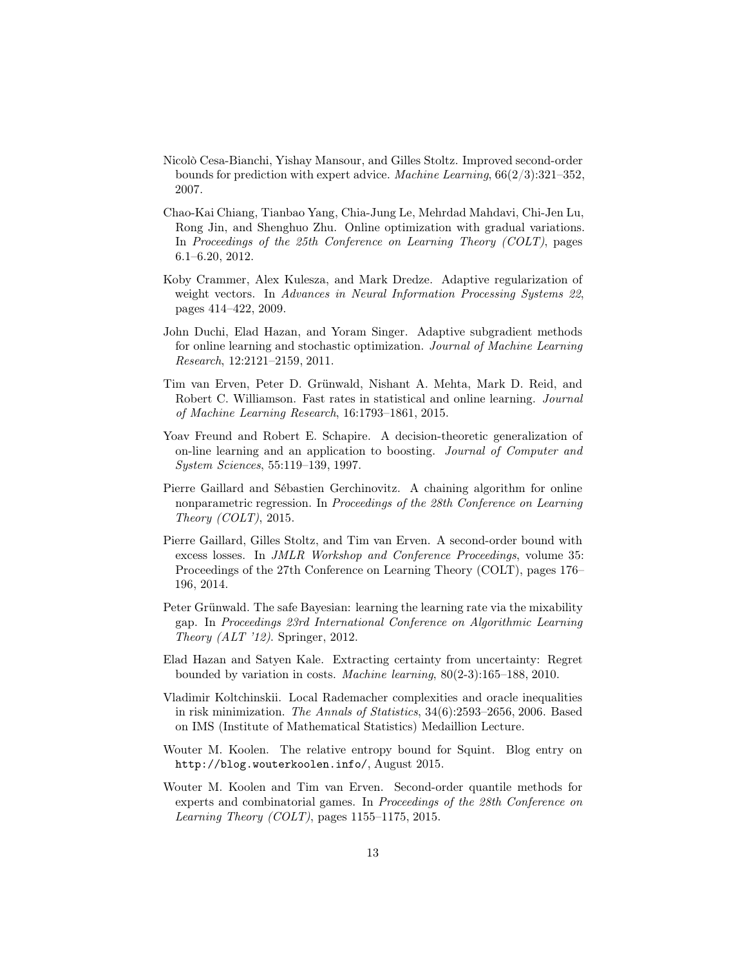- <span id="page-12-0"></span>Nicolò Cesa-Bianchi, Yishay Mansour, and Gilles Stoltz. Improved second-order bounds for prediction with expert advice. Machine Learning,  $66(2/3):321-352$ , 2007.
- <span id="page-12-6"></span>Chao-Kai Chiang, Tianbao Yang, Chia-Jung Le, Mehrdad Mahdavi, Chi-Jen Lu, Rong Jin, and Shenghuo Zhu. Online optimization with gradual variations. In Proceedings of the 25th Conference on Learning Theory (COLT), pages 6.1–6.20, 2012.
- <span id="page-12-3"></span>Koby Crammer, Alex Kulesza, and Mark Dredze. Adaptive regularization of weight vectors. In Advances in Neural Information Processing Systems 22, pages 414–422, 2009.
- <span id="page-12-4"></span>John Duchi, Elad Hazan, and Yoram Singer. Adaptive subgradient methods for online learning and stochastic optimization. Journal of Machine Learning Research, 12:2121–2159, 2011.
- <span id="page-12-7"></span>Tim van Erven, Peter D. Grünwald, Nishant A. Mehta, Mark D. Reid, and Robert C. Williamson. Fast rates in statistical and online learning. *Journal* of Machine Learning Research, 16:1793–1861, 2015.
- <span id="page-12-8"></span>Yoav Freund and Robert E. Schapire. A decision-theoretic generalization of on-line learning and an application to boosting. Journal of Computer and System Sciences, 55:119–139, 1997.
- <span id="page-12-12"></span>Pierre Gaillard and Sébastien Gerchinovitz. A chaining algorithm for online nonparametric regression. In Proceedings of the 28th Conference on Learning Theory (COLT), 2015.
- <span id="page-12-1"></span>Pierre Gaillard, Gilles Stoltz, and Tim van Erven. A second-order bound with excess losses. In JMLR Workshop and Conference Proceedings, volume 35: Proceedings of the 27th Conference on Learning Theory (COLT), pages 176– 196, 2014.
- <span id="page-12-10"></span>Peter Grünwald. The safe Bayesian: learning the learning rate via the mixability gap. In Proceedings 23rd International Conference on Algorithmic Learning Theory (ALT '12). Springer, 2012.
- <span id="page-12-5"></span>Elad Hazan and Satyen Kale. Extracting certainty from uncertainty: Regret bounded by variation in costs. Machine learning, 80(2-3):165–188, 2010.
- <span id="page-12-9"></span>Vladimir Koltchinskii. Local Rademacher complexities and oracle inequalities in risk minimization. The Annals of Statistics, 34(6):2593–2656, 2006. Based on IMS (Institute of Mathematical Statistics) Medaillion Lecture.
- <span id="page-12-11"></span>Wouter M. Koolen. The relative entropy bound for Squint. Blog entry on http://blog.wouterkoolen.info/, August 2015.
- <span id="page-12-2"></span>Wouter M. Koolen and Tim van Erven. Second-order quantile methods for experts and combinatorial games. In Proceedings of the 28th Conference on Learning Theory (COLT), pages  $1155-1175$ , 2015.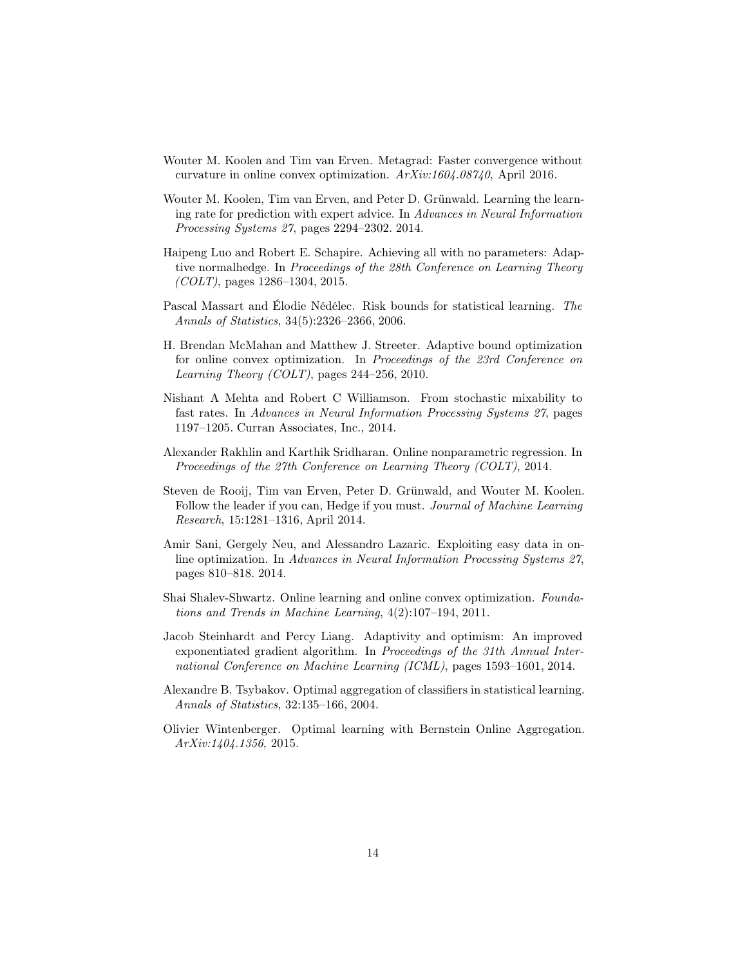- <span id="page-13-8"></span>Wouter M. Koolen and Tim van Erven. Metagrad: Faster convergence without curvature in online convex optimization. ArXiv:1604.08740, April 2016.
- <span id="page-13-3"></span>Wouter M. Koolen, Tim van Erven, and Peter D. Grünwald. Learning the learning rate for prediction with expert advice. In Advances in Neural Information Processing Systems 27, pages 2294–2302. 2014.
- <span id="page-13-4"></span>Haipeng Luo and Robert E. Schapire. Achieving all with no parameters: Adaptive normalhedge. In Proceedings of the 28th Conference on Learning Theory  $(COLT)$ , pages 1286–1304, 2015.
- <span id="page-13-9"></span>Pascal Massart and Élodie Nédélec. Risk bounds for statistical learning. The Annals of Statistics, 34(5):2326–2366, 2006.
- <span id="page-13-6"></span>H. Brendan McMahan and Matthew J. Streeter. Adaptive bound optimization for online convex optimization. In Proceedings of the 23rd Conference on Learning Theory (COLT), pages 244–256, 2010.
- <span id="page-13-11"></span>Nishant A Mehta and Robert C Williamson. From stochastic mixability to fast rates. In Advances in Neural Information Processing Systems 27, pages 1197–1205. Curran Associates, Inc., 2014.
- <span id="page-13-12"></span>Alexander Rakhlin and Karthik Sridharan. Online nonparametric regression. In Proceedings of the 27th Conference on Learning Theory (COLT), 2014.
- <span id="page-13-1"></span>Steven de Rooij, Tim van Erven, Peter D. Grünwald, and Wouter M. Koolen. Follow the leader if you can, Hedge if you must. *Journal of Machine Learning* Research, 15:1281–1316, April 2014.
- <span id="page-13-2"></span>Amir Sani, Gergely Neu, and Alessandro Lazaric. Exploiting easy data in online optimization. In Advances in Neural Information Processing Systems 27, pages 810–818. 2014.
- <span id="page-13-0"></span>Shai Shalev-Shwartz. Online learning and online convex optimization. Foundations and Trends in Machine Learning, 4(2):107–194, 2011.
- <span id="page-13-7"></span>Jacob Steinhardt and Percy Liang. Adaptivity and optimism: An improved exponentiated gradient algorithm. In Proceedings of the 31th Annual International Conference on Machine Learning (ICML), pages 1593–1601, 2014.
- <span id="page-13-10"></span>Alexandre B. Tsybakov. Optimal aggregation of classifiers in statistical learning. Annals of Statistics, 32:135–166, 2004.
- <span id="page-13-5"></span>Olivier Wintenberger. Optimal learning with Bernstein Online Aggregation. ArXiv:1404.1356, 2015.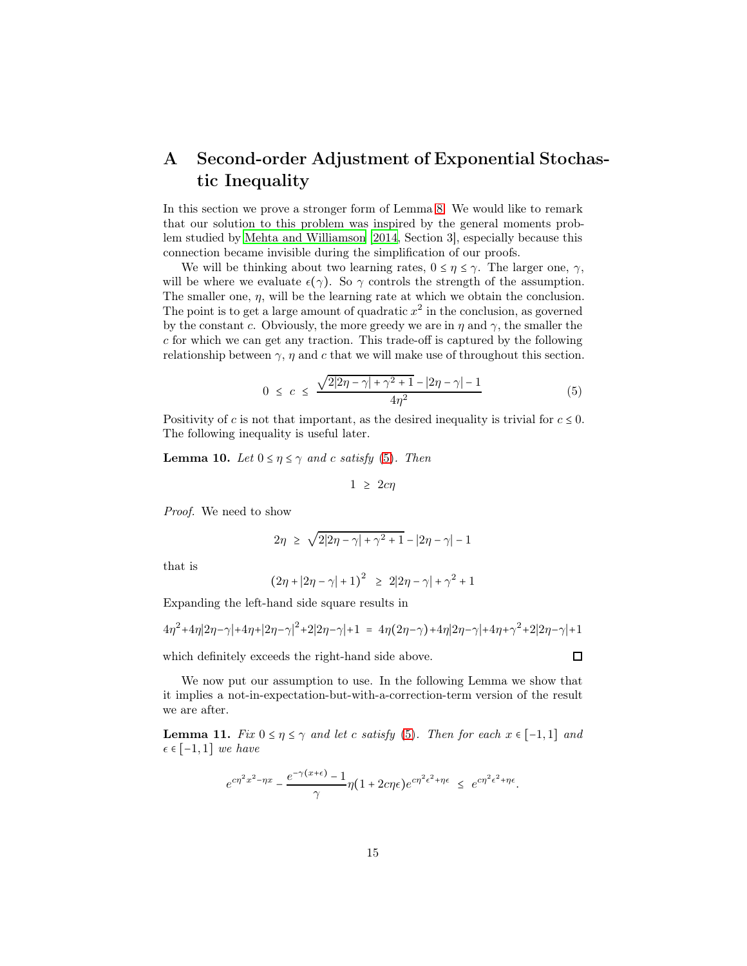# <span id="page-14-0"></span>A Second-order Adjustment of Exponential Stochastic Inequality

In this section we prove a stronger form of Lemma [8.](#page-10-0) We would like to remark that our solution to this problem was inspired by the general moments problem studied by [Mehta and Williamson \[2014,](#page-13-11) Section 3], especially because this connection became invisible during the simplification of our proofs.

We will be thinking about two learning rates,  $0 \leq \eta \leq \gamma$ . The larger one,  $\gamma$ , will be where we evaluate  $\epsilon(\gamma)$ . So  $\gamma$  controls the strength of the assumption. The smaller one,  $\eta$ , will be the learning rate at which we obtain the conclusion. The point is to get a large amount of quadratic  $x^2$  in the conclusion, as governed by the constant c. Obviously, the more greedy we are in  $\eta$  and  $\gamma$ , the smaller the c for which we can get any traction. This trade-off is captured by the following relationship between  $\gamma$ ,  $\eta$  and c that we will make use of throughout this section.

$$
0 \le c \le \frac{\sqrt{2|2\eta - \gamma| + \gamma^2 + 1} - |2\eta - \gamma| - 1}{4\eta^2} \tag{5}
$$

<span id="page-14-3"></span><span id="page-14-1"></span>Positivity of c is not that important, as the desired inequality is trivial for  $c \leq 0$ . The following inequality is useful later.

**Lemma 10.** Let  $0 \leq \eta \leq \gamma$  and c satisfy [\(5\)](#page-14-1). Then

$$
1 \ \geq \ 2c\eta
$$

Proof. We need to show

$$
2\eta \ \geq \ \sqrt{2|2\eta-\gamma|+\gamma^2+1}-|2\eta-\gamma|-1
$$

that is

$$
\bigl(2\eta+|2\eta-\gamma|+1\bigr)^2 \;\; \geq \;\; 2|2\eta-\gamma|+\gamma^2+1
$$

Expanding the left-hand side square results in

$$
4\eta^2 + 4\eta|2\eta - \gamma| + 4\eta + |2\eta - \gamma|^2 + 2|2\eta - \gamma| + 1 = 4\eta(2\eta - \gamma) + 4\eta|2\eta - \gamma| + 4\eta + \gamma^2 + 2|2\eta - \gamma| + 1
$$

which definitely exceeds the right-hand side above.

We now put our assumption to use. In the following Lemma we show that it implies a not-in-expectation-but-with-a-correction-term version of the result we are after.

<span id="page-14-2"></span>**Lemma 11.** Fix  $0 \le \eta \le \gamma$  and let c satisfy [\(5\)](#page-14-1). Then for each  $x \in [-1,1]$  and  $\epsilon \in [-1,1]$  we have

$$
e^{c\eta^2x^2-\eta x}-\frac{e^{-\gamma(x+\epsilon)}-1}{\gamma}\eta(1+2c\eta\epsilon)e^{c\eta^2\epsilon^2+\eta\epsilon} \leq e^{c\eta^2\epsilon^2+\eta\epsilon}.
$$

 $\Box$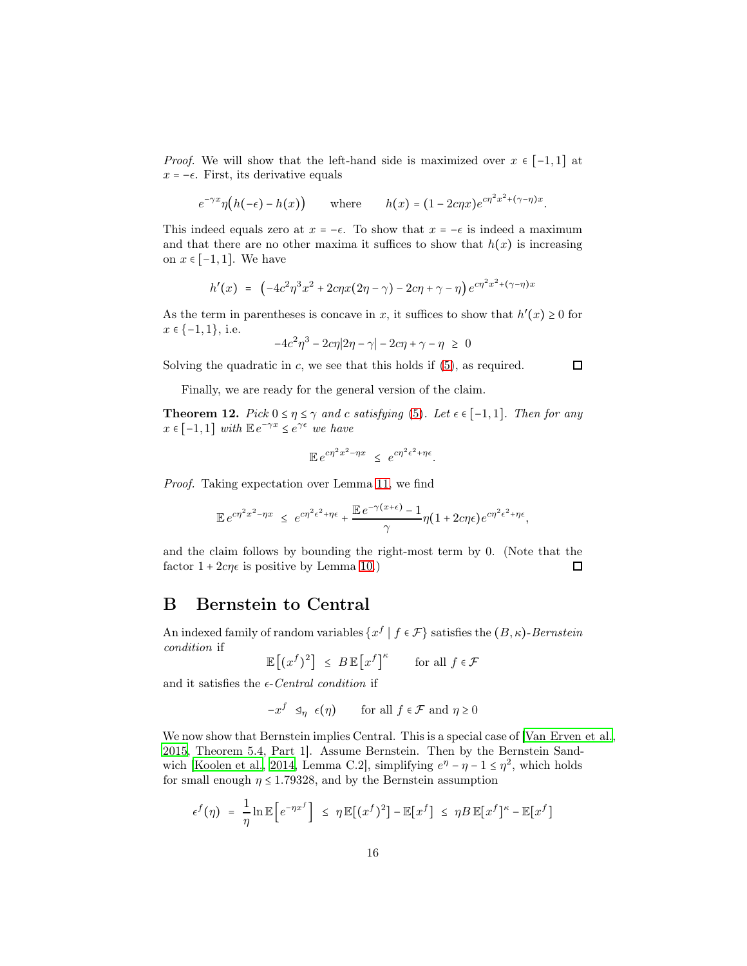*Proof.* We will show that the left-hand side is maximized over  $x \in [-1,1]$  at  $x = -\epsilon$ . First, its derivative equals

$$
e^{-\gamma x}\eta\big(h(-\epsilon)-h(x)\big) \qquad \text{where} \qquad h(x)=(1-2c\eta x)e^{c\eta^2x^2+(\gamma-\eta)x}.
$$

This indeed equals zero at  $x = -\epsilon$ . To show that  $x = -\epsilon$  is indeed a maximum and that there are no other maxima it suffices to show that  $h(x)$  is increasing on  $x \in [-1, 1]$ . We have

$$
h'(x) = \left(-4c^2\eta^3 x^2 + 2c\eta x(2\eta - \gamma) - 2c\eta + \gamma - \eta\right)e^{c\eta^2 x^2 + (\gamma - \eta)x}
$$

As the term in parentheses is concave in x, it suffices to show that  $h'(x) \geq 0$  for  $x \in \{-1,1\}, \text{ i.e.}$ 

$$
-4c^2\eta^3 - 2c\eta|2\eta - \gamma| - 2c\eta + \gamma - \eta \geq 0
$$

 $\Box$ 

Solving the quadratic in  $c$ , we see that this holds if  $(5)$ , as required.

<span id="page-15-1"></span>Finally, we are ready for the general version of the claim.

**Theorem 12.** Pick  $0 \le \eta \le \gamma$  and c satisfying [\(5\)](#page-14-1). Let  $\epsilon \in [-1,1]$ . Then for any  $x \in [-1, 1]$  with  $\mathbb{E} e^{-\gamma x} \leq e^{\gamma \epsilon}$  we have

$$
\mathbb{E} e^{c\eta^2 x^2 - \eta x} \le e^{c\eta^2 \epsilon^2 + \eta \epsilon}.
$$

Proof. Taking expectation over Lemma [11,](#page-14-2) we find

$$
\mathbb{E} e^{c\eta^2 x^2 - \eta x} \leq e^{c\eta^2 \epsilon^2 + \eta \epsilon} + \frac{\mathbb{E} e^{-\gamma(x+\epsilon)} - 1}{\gamma} \eta (1 + 2c\eta \epsilon) e^{c\eta^2 \epsilon^2 + \eta \epsilon},
$$

and the claim follows by bounding the right-most term by 0. (Note that the factor  $1 + 2c\eta\epsilon$  is positive by Lemma [10.](#page-14-3)) 口

### <span id="page-15-0"></span>B Bernstein to Central

An indexed family of random variables  $\{x^f \mid f \in \mathcal{F}\}$  satisfies the  $(B, \kappa)$ -Bernstein condition if

 $\mathbb{E}[(x^f)^2] \leq B \mathbb{E}[x^f]^\kappa$  for all  $f \in \mathcal{F}$ 

and it satisfies the  $\epsilon\text{-}Central\,\,condition$  if

$$
-x^f \leq_\eta \epsilon(\eta) \qquad \text{for all } f \in \mathcal{F} \text{ and } \eta \geq 0
$$

We now show that Bernstein implies Central. This is a special case of [\[Van Erven et al.](#page-12-7), [2015,](#page-12-7) Theorem 5.4, Part 1]. Assume Bernstein. Then by the Bernstein Sand-wich [\[Koolen et al.](#page-13-3), [2014,](#page-13-3) Lemma C.2], simplifying  $e^{\eta} - \eta - 1 \leq \eta^2$ , which holds for small enough  $\eta \leq 1.79328$ , and by the Bernstein assumption

$$
\epsilon^{f}(\eta) = \frac{1}{\eta} \ln \mathbb{E}\left[e^{-\eta x^{f}}\right] \leq \eta \mathbb{E}[(x^{f})^{2}] - \mathbb{E}[x^{f}] \leq \eta B \mathbb{E}[x^{f}]^{\kappa} - \mathbb{E}[x^{f}]
$$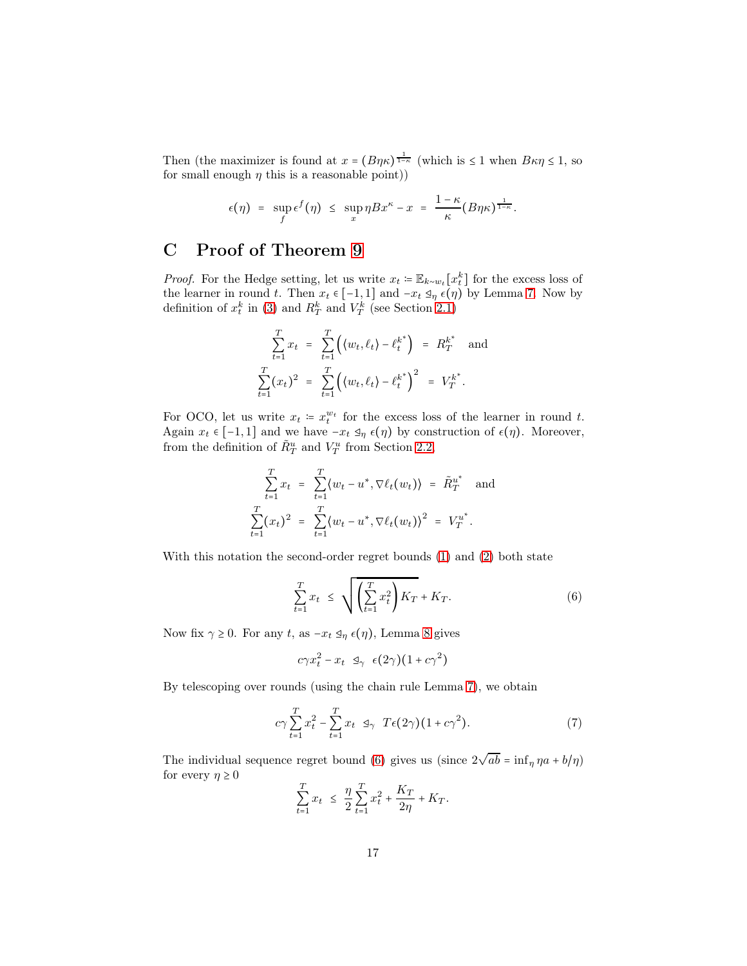Then (the maximizer is found at  $x = (B\eta\kappa)^{\frac{1}{1-\kappa}}$  (which is  $\leq 1$  when  $B\kappa\eta \leq 1$ , so for small enough  $\eta$  this is a reasonable point))

$$
\epsilon(\eta) = \sup_f \epsilon^f(\eta) \leq \sup_x \eta Bx^{\kappa} - x = \frac{1-\kappa}{\kappa} (B\eta\kappa)^{\frac{1}{1-\kappa}}.
$$

# <span id="page-16-0"></span>C Proof of Theorem [9](#page-11-5)

*Proof.* For the Hedge setting, let us write  $x_t = \mathbb{E}_{k \sim w_t}[x_t^k]$  for the excess loss of the learner in round t. Then  $x_t \in [-1,1]$  and  $-x_t \leq_\eta \epsilon(\eta)$  by Lemma [7.](#page-9-2) Now by definition of  $x_t^k$  in [\(3\)](#page-3-1) and  $R_T^k$  and  $V_T^k$  (see Section [2.1\)](#page-2-1)

$$
\sum_{t=1}^{T} x_t = \sum_{t=1}^{T} ((w_t, \ell_t) - \ell_t^{k^*}) = R_T^{k^*} \text{ and}
$$

$$
\sum_{t=1}^{T} (x_t)^2 = \sum_{t=1}^{T} ((w_t, \ell_t) - \ell_t^{k^*})^2 = V_T^{k^*}.
$$

For OCO, let us write  $x_t = x_t^{w_t}$  for the excess loss of the learner in round t. Again  $x_t \in [-1,1]$  and we have  $-x_t \leq_{\eta} \epsilon(\eta)$  by construction of  $\epsilon(\eta)$ . Moreover, from the definition of  $\tilde{R}^u_T$  and  $V^u_T$  from Section [2.2,](#page-2-2)

$$
\sum_{t=1}^{T} x_t = \sum_{t=1}^{T} \langle w_t - u^*, \nabla \ell_t(w_t) \rangle = \tilde{R}_T^{u^*} \text{ and}
$$
  

$$
\sum_{t=1}^{T} (x_t)^2 = \sum_{t=1}^{T} \langle w_t - u^*, \nabla \ell_t(w_t) \rangle^2 = V_T^{u^*}.
$$

With this notation the second-order regret bounds [\(1\)](#page-2-0) and [\(2\)](#page-3-0) both state

<span id="page-16-1"></span>
$$
\sum_{t=1}^{T} x_t \le \sqrt{\left(\sum_{t=1}^{T} x_t^2\right) K_T} + K_T. \tag{6}
$$

Now fix  $\gamma \geq 0$ . For any t, as  $-x_t \leq_{\eta} \epsilon(\eta)$ , Lemma [8](#page-10-0) gives

<span id="page-16-2"></span>
$$
c\gamma x_t^2 - x_t \leq \gamma \epsilon(2\gamma)(1 + c\gamma^2)
$$

By telescoping over rounds (using the chain rule Lemma [7\)](#page-9-2), we obtain

$$
c\gamma \sum_{t=1}^{T} x_t^2 - \sum_{t=1}^{T} x_t \leq \gamma \ T\epsilon(2\gamma)(1 + c\gamma^2). \tag{7}
$$

The individual sequence regret bound [\(6\)](#page-16-1) gives us (since  $2\sqrt{ab} = \inf_{\eta} \eta a + b/\eta$ ) for every  $\eta \geq 0$ 

$$
\sum_{t=1}^{T} x_t \leq \frac{\eta}{2} \sum_{t=1}^{T} x_t^2 + \frac{K_T}{2\eta} + K_T.
$$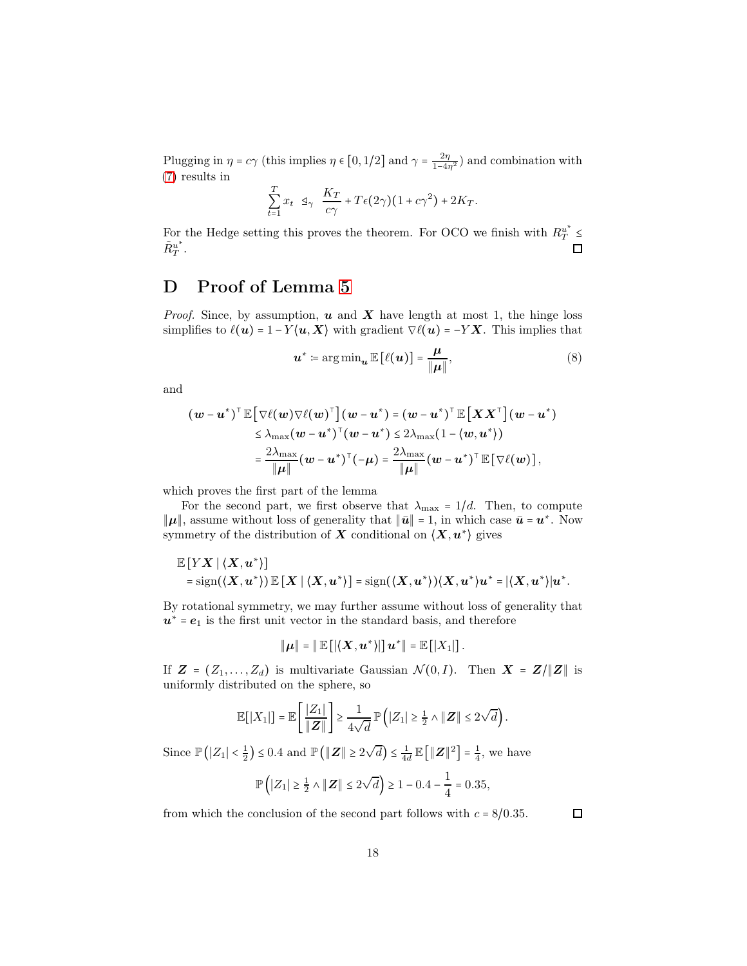Plugging in  $\eta = c\gamma$  (this implies  $\eta \in [0, 1/2]$  and  $\gamma = \frac{2\eta}{1-4\eta^2}$ ) and combination with [\(7\)](#page-16-2) results in

$$
\sum_{t=1}^T x_t \ \ \mathfrak{A}_{\gamma} \ \ \frac{K_T}{c\gamma} + T\epsilon(2\gamma)(1+c\gamma^2) + 2K_T.
$$

For the Hedge setting this proves the theorem. For OCO we finish with  $R_T^{u^*} \leq$  $\tilde{R}^{u^*}_{T}$  $\Box$  $^u_T$  .

## <span id="page-17-0"></span>D Proof of Lemma [5](#page-8-1)

*Proof.* Since, by assumption,  $u$  and  $X$  have length at most 1, the hinge loss simplifies to  $\ell(\mathbf{u}) = 1 - Y(\mathbf{u}, \mathbf{X})$  with gradient  $\nabla \ell(\mathbf{u}) = -Y \mathbf{X}$ . This implies that

$$
\boldsymbol{u}^* \coloneqq \arg\min_{\boldsymbol{u}} \mathbb{E}\left[\ell(\boldsymbol{u})\right] = \frac{\mu}{\|\boldsymbol{\mu}\|},\tag{8}
$$

and

$$
(\boldsymbol{w} - \boldsymbol{u}^*)^\top \mathbb{E} \big[ \nabla \ell(\boldsymbol{w}) \nabla \ell(\boldsymbol{w})^\top \big] (\boldsymbol{w} - \boldsymbol{u}^*) = (\boldsymbol{w} - \boldsymbol{u}^*)^\top \mathbb{E} \big[ \boldsymbol{X} \boldsymbol{X}^\top \big] (\boldsymbol{w} - \boldsymbol{u}^*)
$$
  
\n
$$
\leq \lambda_{\max} (\boldsymbol{w} - \boldsymbol{u}^*)^\top (\boldsymbol{w} - \boldsymbol{u}^*) \leq 2\lambda_{\max} (1 - \langle \boldsymbol{w}, \boldsymbol{u}^* \rangle)
$$
  
\n
$$
= \frac{2\lambda_{\max}}{\|\boldsymbol{\mu}\|} (\boldsymbol{w} - \boldsymbol{u}^*)^\top (-\boldsymbol{\mu}) = \frac{2\lambda_{\max}}{\|\boldsymbol{\mu}\|} (\boldsymbol{w} - \boldsymbol{u}^*)^\top \mathbb{E} \big[ \nabla \ell(\boldsymbol{w}) \big],
$$

which proves the first part of the lemma

For the second part, we first observe that  $\lambda_{\text{max}} = 1/d$ . Then, to compute  $\|\pmb{\mu}\|,$  assume without loss of generality that  $\|\bar{\pmb{u}}\|=1,$  in which case  $\bar{\pmb{u}}=\pmb{u}^*.$  Now symmetry of the distribution of  $X$  conditional on  $\langle X, u^* \rangle$  gives

$$
\mathbb{E}\left[ Y X \mid \langle X, u^* \rangle \right] \\ = \text{sign}(\langle X, u^* \rangle) \mathbb{E}\left[ X \mid \langle X, u^* \rangle \right] = \text{sign}(\langle X, u^* \rangle) \langle X, u^* \rangle u^* = |\langle X, u^* \rangle| u^*.
$$

By rotational symmetry, we may further assume without loss of generality that  $u^* = e_1$  is the first unit vector in the standard basis, and therefore

$$
\|\boldsymbol{\mu}\|=\|\operatorname{\mathbb{E}}\left[|\langle \boldsymbol{X}, \boldsymbol{u}^*\rangle|\right] \boldsymbol{u}^*\|=\operatorname{\mathbb{E}}\left[|X_1|\right].
$$

If  $\mathbf{Z} = (Z_1, \ldots, Z_d)$  is multivariate Gaussian  $\mathcal{N}(0, I)$ . Then  $\mathbf{X} = \mathbf{Z}/\|\mathbf{Z}\|$  is uniformly distributed on the sphere, so

$$
\mathbb{E}[|X_1|] = \mathbb{E}\left[\frac{|Z_1|}{\|Z\|}\right] \ge \frac{1}{4\sqrt{d}} \mathbb{P}\left(|Z_1| \ge \frac{1}{2} \wedge \|Z\| \le 2\sqrt{d}\right).
$$

Since  $\mathbb{P}(|Z_1| < \frac{1}{2}) \leq 0.4$  and  $\mathbb{P}(|Z|| \geq 2\sqrt{d}) \leq \frac{1}{4d} \mathbb{E}(|Z||^2) = \frac{1}{4}$ , we have

$$
\mathbb{P}\left(|Z_1| \ge \frac{1}{2} \land ||\mathbf{Z}|| \le 2\sqrt{d}\right) \ge 1 - 0.4 - \frac{1}{4} = 0.35,
$$

from which the conclusion of the second part follows with  $c = 8/0.35$ .

 $\Box$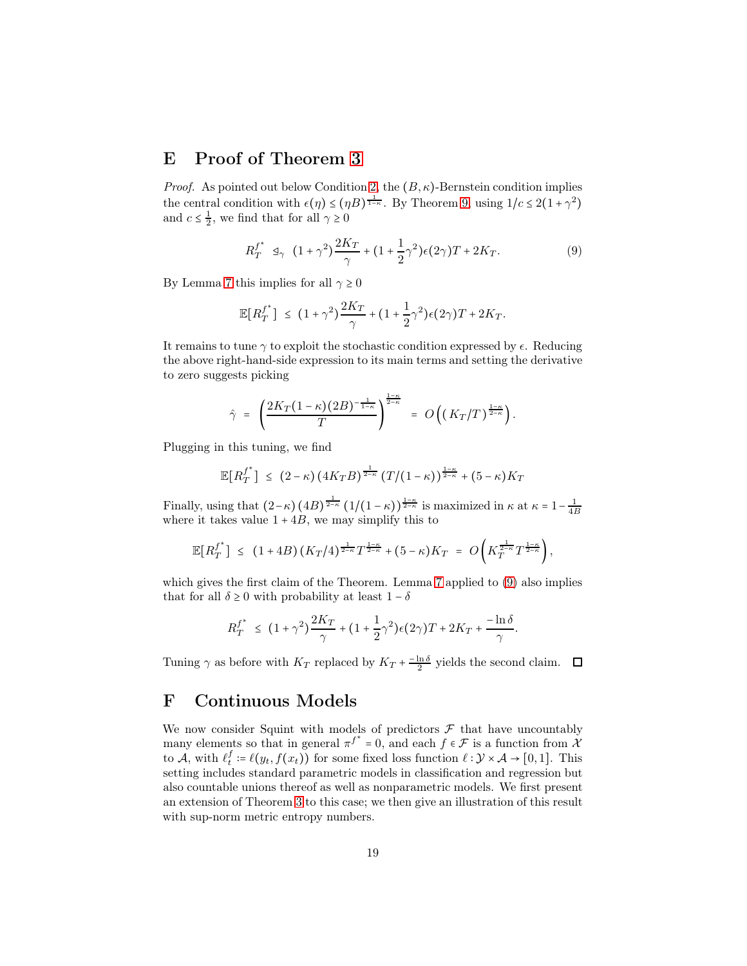### <span id="page-18-1"></span>E Proof of Theorem [3](#page-4-0)

*Proof.* As pointed out below Condition [2,](#page-4-2) the  $(B, \kappa)$ -Bernstein condition implies the central condition with  $\epsilon(\eta) \le (\eta B)^{\frac{1}{1-\kappa}}$ . By Theorem [9,](#page-11-5) using  $1/c \le 2(1+\gamma^2)$ and  $c \leq \frac{1}{2}$ , we find that for all  $\gamma \geq 0$ 

<span id="page-18-2"></span>
$$
R_T^{f^*} \leq_{\gamma} (1 + \gamma^2) \frac{2K_T}{\gamma} + (1 + \frac{1}{2}\gamma^2) \epsilon(2\gamma)T + 2K_T.
$$
 (9)

By Lemma [7](#page-9-2) this implies for all  $\gamma \geq 0$ 

$$
\mathbb{E}[R_T^{f^*}] \le (1+\gamma^2)\frac{2K_T}{\gamma} + (1+\frac{1}{2}\gamma^2)\epsilon(2\gamma)T + 2K_T.
$$

It remains to tune  $\gamma$  to exploit the stochastic condition expressed by  $\epsilon$ . Reducing the above right-hand-side expression to its main terms and setting the derivative to zero suggests picking

$$
\hat{\gamma} = \left(\frac{2K_T(1-\kappa)(2B)^{-\frac{1}{1-\kappa}}}{T}\right)^{\frac{1-\kappa}{2-\kappa}} = O\left((K_T/T)^{\frac{1-\kappa}{2-\kappa}}\right).
$$

Plugging in this tuning, we find

$$
\mathbb{E}\big[R_T^{f^*}\big] \leq (2-\kappa)\left(4K_T B\right)^{\frac{1}{2-\kappa}} \left(T/(1-\kappa)\right)^{\frac{1-\kappa}{2-\kappa}} + (5-\kappa)K_T
$$

Finally, using that  $(2-\kappa)$   $(4B)^{\frac{1}{2-\kappa}}$   $(1/(1-\kappa))^{\frac{1-\kappa}{2-\kappa}}$  is maximized in  $\kappa$  at  $\kappa = 1-\frac{1}{4B}$ where it takes value  $1 + 4B$ , we may simplify this to

$$
\mathbb{E}[R_T^{f^*}] \leq (1+4B) (K_T/4)^{\frac{1}{2-\kappa}} T^{\frac{1-\kappa}{2-\kappa}} + (5-\kappa) K_T = O\left(K_T^{\frac{1}{2-\kappa}} T^{\frac{1-\kappa}{2-\kappa}}\right),
$$

which gives the first claim of the Theorem. Lemma [7](#page-9-2) applied to  $(9)$  also implies that for all  $\delta \geq 0$  with probability at least  $1 - \delta$ 

$$
R_T^{f^*} \leq (1+\gamma^2)\frac{2K_T}{\gamma} + (1+\frac{1}{2}\gamma^2)\epsilon(2\gamma)T + 2K_T + \frac{-\ln\delta}{\gamma}.
$$

Tuning  $\gamma$  as before with  $K_T$  replaced by  $K_T + \frac{-\ln \delta}{2}$  yields the second claim.

### <span id="page-18-0"></span>F Continuous Models

We now consider Squint with models of predictors  $\mathcal F$  that have uncountably many elements so that in general  $\pi^{f^*} = 0$ , and each  $f \in \mathcal{F}$  is a function from  $\chi$ to  $\mathcal{A}$ , with  $\ell_t^f := \ell(y_t, f(x_t))$  for some fixed loss function  $\ell : \mathcal{Y} \times \mathcal{A} \to [0, 1]$ . This setting includes standard parametric models in classification and regression but also countable unions thereof as well as nonparametric models. We first present an extension of Theorem [3](#page-4-0) to this case; we then give an illustration of this result with sup-norm metric entropy numbers.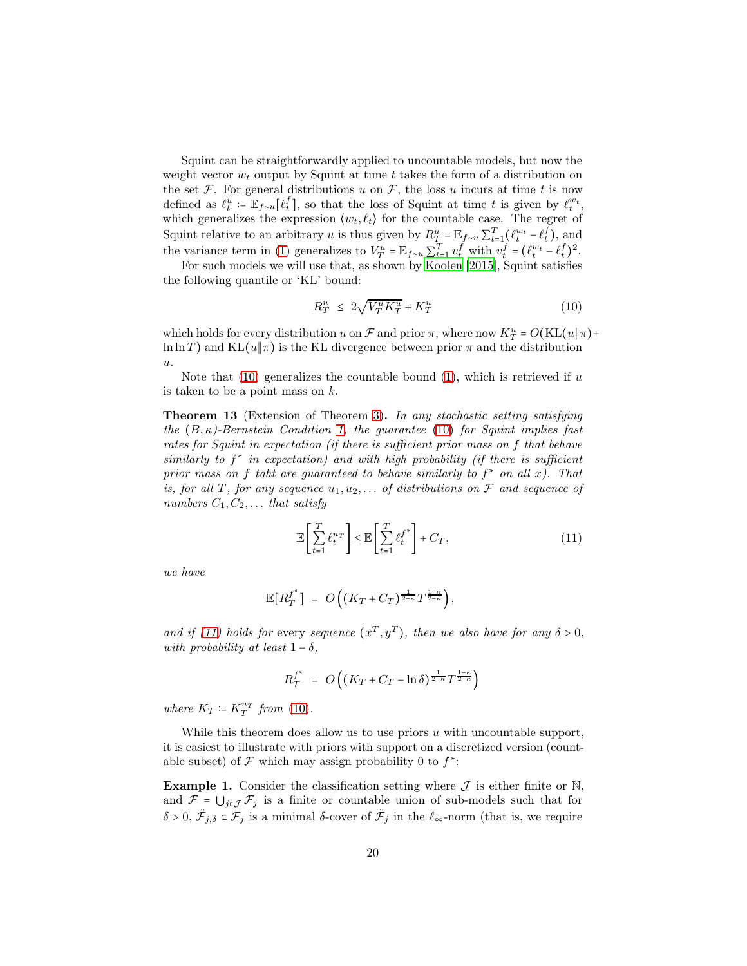Squint can be straightforwardly applied to uncountable models, but now the weight vector  $w_t$  output by Squint at time t takes the form of a distribution on the set F. For general distributions u on F, the loss u incurs at time t is now defined as  $\ell_t^u := \mathbb{E}_{f \sim u}[\ell_t^f]$ , so that the loss of Squint at time t is given by  $\ell_t^{w_t}$ , which generalizes the expression  $\langle w_t, \ell_t \rangle$  for the countable case. The regret of Squint relative to an arbitrary u is thus given by  $R_T^u = \mathbb{E}_{f \sim u} \sum_{t=1}^T (\ell_t^{w_t} - \ell_t^f)$ , and the variance term in [\(1\)](#page-2-0) generalizes to  $V_T^u = \mathbb{E}_{f \sim u} \sum_{t=1}^T v_t^f$  with  $v_t^f = (\ell_t^{w_t} - \ell_t^f)^2$ .

For such models we will use that, as shown by [Koolen \[2015\]](#page-12-11), Squint satisfies the following quantile or 'KL' bound:

<span id="page-19-1"></span>
$$
R_T^u \leq 2\sqrt{V_T^u K_T^u} + K_T^u \tag{10}
$$

which holds for every distribution u on  $\mathcal F$  and prior  $\pi$ , where now  $K_T^u = O(KL(u\|\pi) +$ ln ln T) and KL $(u|\pi)$  is the KL divergence between prior  $\pi$  and the distribution  $u$ .

<span id="page-19-0"></span>Note that  $(10)$  generalizes the countable bound  $(1)$ , which is retrieved if u is taken to be a point mass on  $k$ .

Theorem 13 (Extension of Theorem [3\)](#page-4-0). In any stochastic setting satisfying the  $(B, \kappa)$ -Bernstein Condition [1,](#page-4-1) the guarantee [\(10\)](#page-19-1) for Squint implies fast rates for Squint in expectation (if there is sufficient prior mass on f that behave similarly to  $f^*$  in expectation) and with high probability (if there is sufficient prior mass on f taht are guaranteed to behave similarly to  $f^*$  on all x). That is, for all T, for any sequence  $u_1, u_2, \ldots$  of distributions on F and sequence of numbers  $C_1, C_2, \ldots$  that satisfy

<span id="page-19-2"></span>
$$
\mathbb{E}\left[\sum_{t=1}^{T} \ell_t^{u_T}\right] \le \mathbb{E}\left[\sum_{t=1}^{T} \ell_t^{f^*}\right] + C_T,\tag{11}
$$

we have

$$
\mathbb{E}[R_T^{f^*}] = O\left((K_T + C_T)^{\frac{1}{2-\kappa}}T^{\frac{1-\kappa}{2-\kappa}}\right),\,
$$

and if [\(11\)](#page-19-2) holds for every sequence  $(x^T, y^T)$ , then we also have for any  $\delta > 0$ , with probability at least  $1 - \delta$ ,

$$
R_T^{f^*} = O\left( (K_T + C_T - \ln \delta)^{\frac{1}{2-\kappa}} T^{\frac{1-\kappa}{2-\kappa}} \right)
$$

where  $K_T \coloneqq K_T^{u_T}$  from [\(10\)](#page-19-1).

While this theorem does allow us to use priors  $u$  with uncountable support, it is easiest to illustrate with priors with support on a discretized version (countable subset) of  $\mathcal F$  which may assign probability 0 to  $f^*$ :

**Example 1.** Consider the classification setting where  $\mathcal{J}$  is either finite or  $\mathbb{N}$ , and  $\mathcal{F} = \bigcup_{j \in \mathcal{J}} \mathcal{F}_j$  is a finite or countable union of sub-models such that for  $\delta > 0$ ,  $\ddot{\mathcal{F}}_{j,\delta} \subset \mathcal{F}_j$  is a minimal δ-cover of  $\ddot{\mathcal{F}}_j$  in the  $\ell_{\infty}$ -norm (that is, we require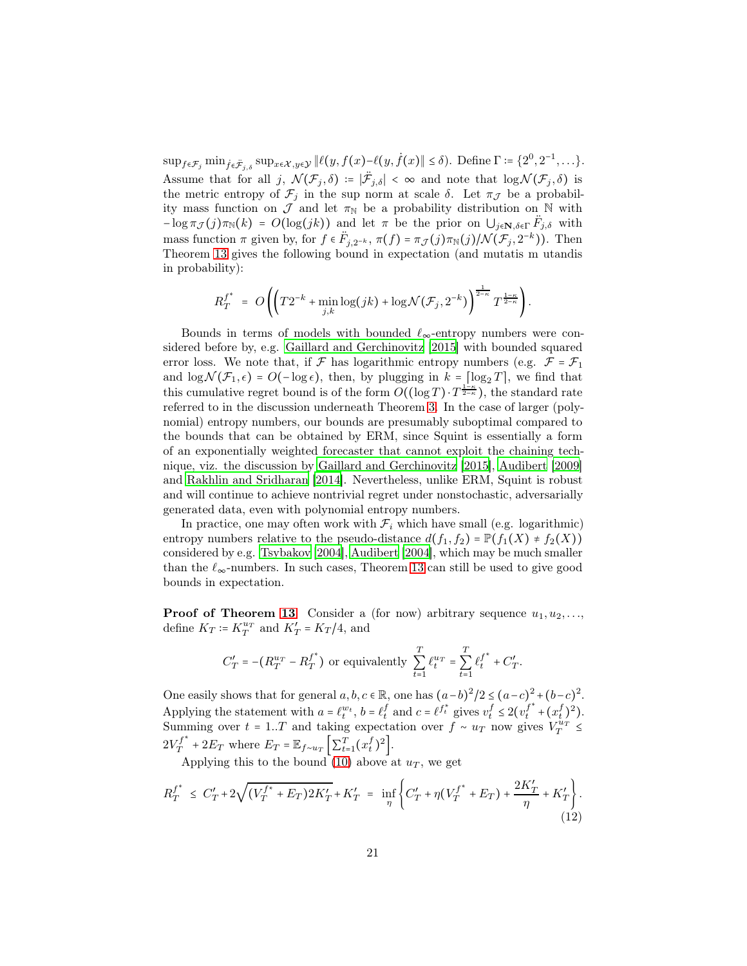$\sup_{f \in \mathcal{F}_j} \min_{\dot{f} \in \dot{\mathcal{F}}_{j,\delta}} \sup_{x \in \mathcal{X}, y \in \mathcal{Y}} \|\ell(y, f(x)) - \ell(y, \dot{f}(x)\| \le \delta).$  Define  $\Gamma \coloneqq \{2^0, 2^{-1}, \dots\}.$ Assume that for all j,  $\mathcal{N}(\mathcal{F}_j, \delta) := |\ddot{\mathcal{F}}_{j,\delta}| < \infty$  and note that  $\log \mathcal{N}(\mathcal{F}_j, \delta)$  is the metric entropy of  $\mathcal{F}_j$  in the sup norm at scale  $\delta$ . Let  $\pi_{\mathcal{J}}$  be a probability mass function on  $\mathcal J$  and let  $\pi_{\mathbb N}$  be a probability distribution on  $\mathbb N$  with  $-\log \pi_{\mathcal{J}}(j)\pi_{\mathbb{N}}(k) = O(\log(jk))$  and let  $\pi$  be the prior on  $\bigcup_{j\in\mathbb{N},\delta\in\Gamma}\ddot{F}_{j,\delta}$  with mass function  $\pi$  given by, for  $f \in \ddot{F}_{j,2^{-k}}$ ,  $\pi(f) = \pi_{\mathcal{J}}(j) \pi_{\mathbb{N}}(j) / \mathcal{N}(\mathcal{F}_j, 2^{-k})$ ). Then Theorem [13](#page-19-0) gives the following bound in expectation (and mutatis m utandis in probability):

$$
R_T^{f^*} = O\left( \left( T2^{-k} + \min_{j,k} \log(jk) + \log \mathcal{N}(\mathcal{F}_j, 2^{-k}) \right)^{\frac{1}{2-\kappa}} T^{\frac{1-\kappa}{2-\kappa}} \right).
$$

Bounds in terms of models with bounded  $\ell_{\infty}$ -entropy numbers were considered before by, e.g. [Gaillard and Gerchinovitz \[2015\]](#page-12-12) with bounded squared error loss. We note that, if  $\mathcal F$  has logarithmic entropy numbers (e.g.  $\mathcal F = \mathcal F_1$ and  $\log \mathcal{N}(\mathcal{F}_1,\epsilon) = O(-\log \epsilon)$ , then, by plugging in  $k = \lceil \log_2 T \rceil$ , we find that this cumulative regret bound is of the form  $O((\log T) \cdot T^{\frac{1-\kappa}{2-\kappa}})$ , the standard rate referred to in the discussion underneath Theorem [3.](#page-4-0) In the case of larger (polynomial) entropy numbers, our bounds are presumably suboptimal compared to the bounds that can be obtained by ERM, since Squint is essentially a form of an exponentially weighted forecaster that cannot exploit the chaining technique, viz. the discussion by [Gaillard and Gerchinovitz \[2015\]](#page-12-12), [Audibert \[2009\]](#page-11-2) and [Rakhlin and Sridharan \[2014\]](#page-13-12). Nevertheless, unlike ERM, Squint is robust and will continue to achieve nontrivial regret under nonstochastic, adversarially generated data, even with polynomial entropy numbers.

In practice, one may often work with  $\mathcal{F}_i$  which have small (e.g. logarithmic) entropy numbers relative to the pseudo-distance  $d(f_1, f_2) = \mathbb{P}(f_1(X) \neq f_2(X))$ considered by e.g. [Tsybakov \[2004\]](#page-13-10), [Audibert \[2004\]](#page-11-3), which may be much smaller than the  $\ell_{\infty}$ -numbers. In such cases, Theorem [13](#page-19-0) can still be used to give good bounds in expectation.

**Proof of Theorem [13](#page-19-0)** Consider a (for now) arbitrary sequence  $u_1, u_2, \ldots,$ define  $K_T = K_T^{u_T}$  and  $K_T' = K_T/4$ , and

<span id="page-20-0"></span>
$$
C_T' = -\left(R_T^{u_T} - R_T^{f^*}\right) \text{ or equivalently } \sum_{t=1}^T \ell_t^{u_T} = \sum_{t=1}^T {\ell_t^f}^* + C_T'.
$$

One easily shows that for general  $a, b, c \in \mathbb{R}$ , one has  $(a-b)^2/2 \leq (a-c)^2 + (b-c)^2$ . Applying the statement with  $a = \ell_t^{w_t}$ ,  $b = \ell_t^f$  and  $c = \ell^{f_t^*}$  gives  $v_t^f \leq 2(v_t^{f^*} + (x_t^f)^2)$ . Summing over  $t = 1..T$  and taking expectation over  $f \sim u_T$  now gives  $V_T^{u_T} \leq$  $2V_T^{f^*}$  $T_f^{f^*} + 2E_T$  where  $E_T = \mathbb{E}_{f \sim u_T} \left[ \sum_{t=1}^T (x_t^f)^2 \right].$ 

Applying this to the bound [\(10\)](#page-19-1) above at  $u_T$ , we get

$$
R_T^{f^*} \le C_T' + 2\sqrt{(V_T^{f^*} + E_T)2K_T' + K_T'} = \inf_{\eta} \left\{ C_T' + \eta (V_T^{f^*} + E_T) + \frac{2K_T'}{\eta} + K_T' \right\}.
$$
\n(12)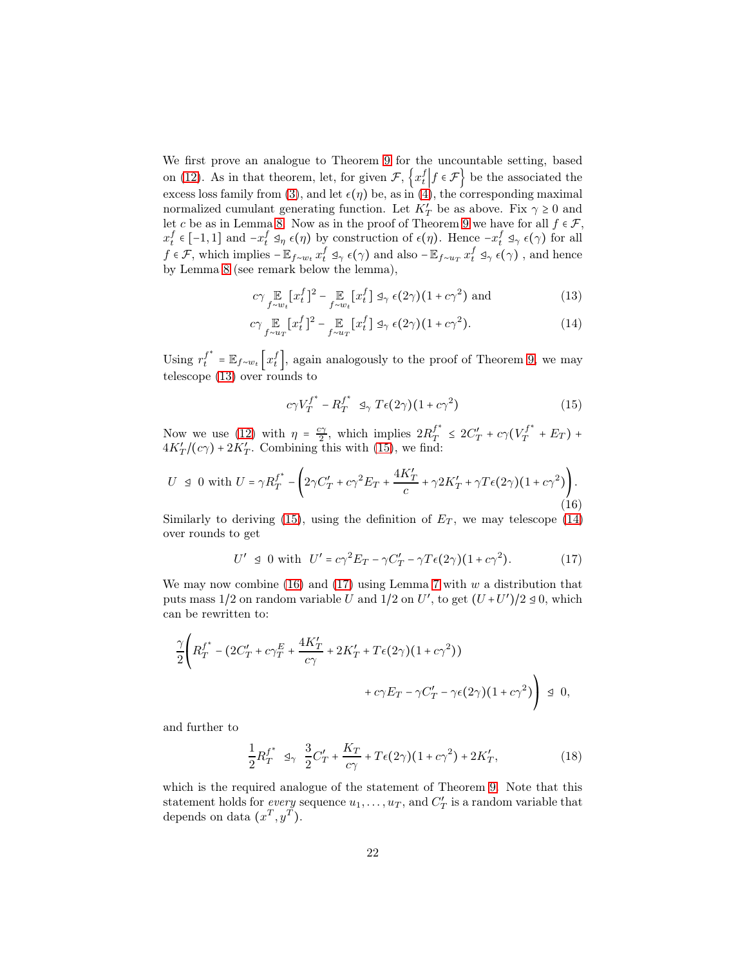We first prove an analogue to Theorem [9](#page-11-5) for the uncountable setting, based on [\(12\)](#page-20-0). As in that theorem, let, for given  $\mathcal{F}, \{x_t^f \mid f \in \mathcal{F}\}\$  be the associated the excess loss family from [\(3\)](#page-3-1), and let  $\epsilon(\eta)$  be, as in [\(4\)](#page-10-1), the corresponding maximal normalized cumulant generating function. Let  $K'_T$  be as above. Fix  $\gamma \ge 0$  and let c be as in Lemma [8.](#page-10-0) Now as in the proof of Theorem [9](#page-11-5) we have for all  $f \in \mathcal{F}$ ,  $x_t^f \in [-1,1]$  and  $-x_t^f \mathfrak{a}_{\eta} \epsilon(\eta)$  by construction of  $\epsilon(\eta)$ . Hence  $-x_t^f \mathfrak{a}_{\gamma} \epsilon(\gamma)$  for all  $f \in \mathcal{F}$ , which implies  $-\mathbb{E}_{f \sim w_t} x_t^f \mathrel{\triangleleft}_{\gamma} \epsilon(\gamma)$  and also  $-\mathbb{E}_{f \sim u_T} x_t^f \mathrel{\triangleleft}_{\gamma} \epsilon(\gamma)$ , and hence by Lemma [8](#page-10-0) (see remark below the lemma),

$$
c\gamma \mathop{\mathbb{E}}_{f \sim w_t} [x_t^f]^2 - \mathop{\mathbb{E}}_{f \sim w_t} [x_t^f] \mathop{\triangleleft}_{\gamma} \epsilon(2\gamma)(1 + c\gamma^2) \text{ and } (13)
$$

$$
c\gamma \mathop{\mathbb{E}}_{f \sim u_T} [x_t^f]^2 - \mathop{\mathbb{E}}_{f \sim u_T} [x_t^f] \mathop{\triangleleft} \gamma \epsilon(2\gamma)(1 + c\gamma^2). \tag{14}
$$

Using  $r_t^{f^*} = \mathbb{E}_{f \sim w_t} \left[ x_t^f \right]$ , again analogously to the proof of Theorem [9,](#page-11-5) we may telescope [\(13\)](#page-21-0) over rounds to

<span id="page-21-3"></span><span id="page-21-2"></span><span id="page-21-1"></span><span id="page-21-0"></span>
$$
c\gamma V_T^{f^*} - R_T^{f^*} \leq \gamma T\epsilon(2\gamma)(1 + c\gamma^2)
$$
\n(15)

Now we use [\(12\)](#page-20-0) with  $\eta = \frac{c\gamma}{2}$ , which implies  $2R_T^{f^*}$  $f^{*}_{T} \leq 2C'_{T} + c\gamma (V_{T}^{f^{*}})$  $T_T^{f^*}$  +  $E_T$ ) +  $4K'_T/(c\gamma) + 2K'_T$ . Combining this with [\(15\)](#page-21-1), we find:

$$
U \leq 0 \text{ with } U = \gamma R_T^{f^*} - \left(2\gamma C_T' + c\gamma^2 E_T + \frac{4K_T'}{c} + \gamma 2K_T' + \gamma T\epsilon(2\gamma)(1 + c\gamma^2)\right). \tag{16}
$$

Similarly to deriving [\(15\)](#page-21-1), using the definition of  $E_T$ , we may telescope [\(14\)](#page-21-2) over rounds to get

<span id="page-21-4"></span>
$$
U' \trianglelefteq 0 \text{ with } U' = c\gamma^2 E_T - \gamma C'_T - \gamma T \epsilon (2\gamma)(1 + c\gamma^2). \tag{17}
$$

We may now combine [\(16\)](#page-21-3) and [\(17\)](#page-21-4) using Lemma [7](#page-9-2) with  $w$  a distribution that puts mass 1/2 on random variable U and 1/2 on U', to get  $(U+U')/2 \le 0$ , which can be rewritten to:

$$
\frac{\gamma}{2} \Bigg( R_T^{f^*} - \left( 2C_T' + c\gamma_T^E + \frac{4K_T'}{c\gamma} + 2K_T' + T\epsilon(2\gamma)(1 + c\gamma^2) \right) + c\gamma E_T - \gamma C_T' - \gamma\epsilon(2\gamma)(1 + c\gamma^2) \Bigg) \leq 0,
$$

and further to

<span id="page-21-5"></span>
$$
\frac{1}{2}R_T^{f^*} \leq \frac{3}{2}C_T' + \frac{K_T}{c\gamma} + T\epsilon(2\gamma)(1 + c\gamma^2) + 2K_T',
$$
\n(18)

which is the required analogue of the statement of Theorem [9.](#page-11-5) Note that this statement holds for *every* sequence  $u_1, \ldots, u_T$ , and  $C'_T$  is a random variable that depends on data  $(x^T, y^T)$ .